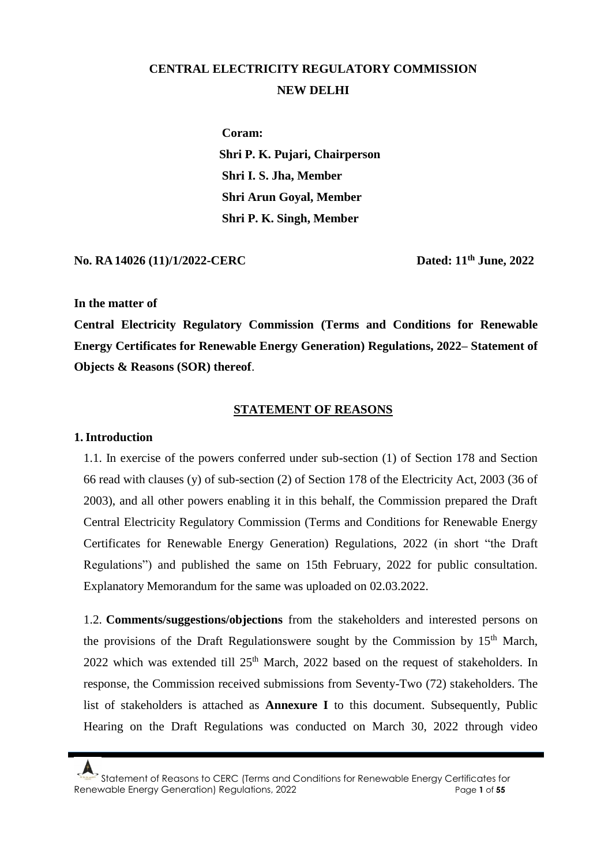# **CENTRAL ELECTRICITY REGULATORY COMMISSION NEW DELHI**

**Coram: Shri P. K. Pujari, Chairperson Shri I. S. Jha, Member Shri Arun Goyal, Member Shri P. K. Singh, Member** 

**No. RA 14026 (11)/1/2022-CERC** 

**th June, 2022**

#### **In the matter of**

**Central Electricity Regulatory Commission (Terms and Conditions for Renewable Energy Certificates for Renewable Energy Generation) Regulations, 2022– Statement of Objects & Reasons (SOR) thereof**.

#### **STATEMENT OF REASONS**

#### **1.Introduction**

1.1. In exercise of the powers conferred under sub-section (1) of Section 178 and Section 66 read with clauses (y) of sub-section (2) of Section 178 of the Electricity Act, 2003 (36 of 2003), and all other powers enabling it in this behalf, the Commission prepared the Draft Central Electricity Regulatory Commission (Terms and Conditions for Renewable Energy Certificates for Renewable Energy Generation) Regulations, 2022 (in short "the Draft Regulations") and published the same on 15th February, 2022 for public consultation. Explanatory Memorandum for the same was uploaded on 02.03.2022.

1.2. **Comments/suggestions/objections** from the stakeholders and interested persons on the provisions of the Draft Regulationswere sought by the Commission by  $15<sup>th</sup>$  March, 2022 which was extended till  $25<sup>th</sup>$  March, 2022 based on the request of stakeholders. In response, the Commission received submissions from Seventy-Two (72) stakeholders. The list of stakeholders is attached as **Annexure I** to this document. Subsequently, Public Hearing on the Draft Regulations was conducted on March 30, 2022 through video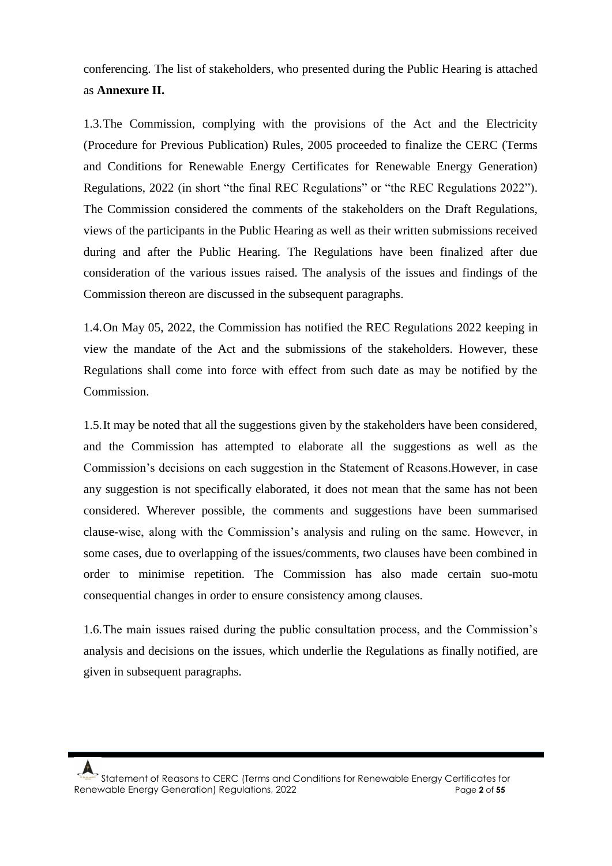conferencing. The list of stakeholders, who presented during the Public Hearing is attached as **Annexure II.**

1.3.The Commission, complying with the provisions of the Act and the Electricity (Procedure for Previous Publication) Rules, 2005 proceeded to finalize the CERC (Terms and Conditions for Renewable Energy Certificates for Renewable Energy Generation) Regulations, 2022 (in short "the final REC Regulations" or "the REC Regulations 2022"). The Commission considered the comments of the stakeholders on the Draft Regulations, views of the participants in the Public Hearing as well as their written submissions received during and after the Public Hearing. The Regulations have been finalized after due consideration of the various issues raised. The analysis of the issues and findings of the Commission thereon are discussed in the subsequent paragraphs.

1.4.On May 05, 2022, the Commission has notified the REC Regulations 2022 keeping in view the mandate of the Act and the submissions of the stakeholders. However, these Regulations shall come into force with effect from such date as may be notified by the Commission.

1.5.It may be noted that all the suggestions given by the stakeholders have been considered, and the Commission has attempted to elaborate all the suggestions as well as the Commission's decisions on each suggestion in the Statement of Reasons.However, in case any suggestion is not specifically elaborated, it does not mean that the same has not been considered. Wherever possible, the comments and suggestions have been summarised clause-wise, along with the Commission's analysis and ruling on the same. However, in some cases, due to overlapping of the issues/comments, two clauses have been combined in order to minimise repetition. The Commission has also made certain suo-motu consequential changes in order to ensure consistency among clauses.

1.6.The main issues raised during the public consultation process, and the Commission's analysis and decisions on the issues, which underlie the Regulations as finally notified, are given in subsequent paragraphs.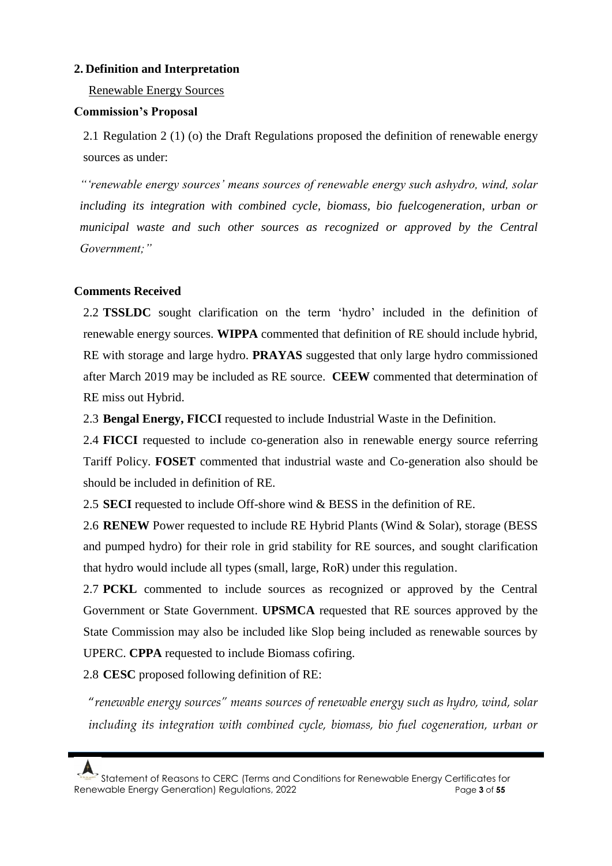# **2. Definition and Interpretation**

Renewable Energy Sources

### **Commission's Proposal**

2.1 Regulation 2 (1) (o) the Draft Regulations proposed the definition of renewable energy sources as under:

*"'renewable energy sources' means sources of renewable energy such ashydro, wind, solar including its integration with combined cycle, biomass, bio fuelcogeneration, urban or municipal waste and such other sources as recognized or approved by the Central Government;"*

# **Comments Received**

2.2 **TSSLDC** sought clarification on the term 'hydro' included in the definition of renewable energy sources. **WIPPA** commented that definition of RE should include hybrid, RE with storage and large hydro. **PRAYAS** suggested that only large hydro commissioned after March 2019 may be included as RE source. **CEEW** commented that determination of RE miss out Hybrid.

2.3 **Bengal Energy, FICCI** requested to include Industrial Waste in the Definition.

2.4 **FICCI** requested to include co-generation also in renewable energy source referring Tariff Policy. **FOSET** commented that industrial waste and Co-generation also should be should be included in definition of RE.

2.5 **SECI** requested to include Off-shore wind & BESS in the definition of RE.

2.6 **RENEW** Power requested to include RE Hybrid Plants (Wind & Solar), storage (BESS and pumped hydro) for their role in grid stability for RE sources, and sought clarification that hydro would include all types (small, large, RoR) under this regulation.

2.7 **PCKL** commented to include sources as recognized or approved by the Central Government or State Government. **UPSMCA** requested that RE sources approved by the State Commission may also be included like Slop being included as renewable sources by UPERC. **CPPA** requested to include Biomass cofiring.

2.8 **CESC** proposed following definition of RE:

"*renewable energy sources" means sources of renewable energy such as hydro, wind, solar including its integration with combined cycle, biomass, bio fuel cogeneration, urban or*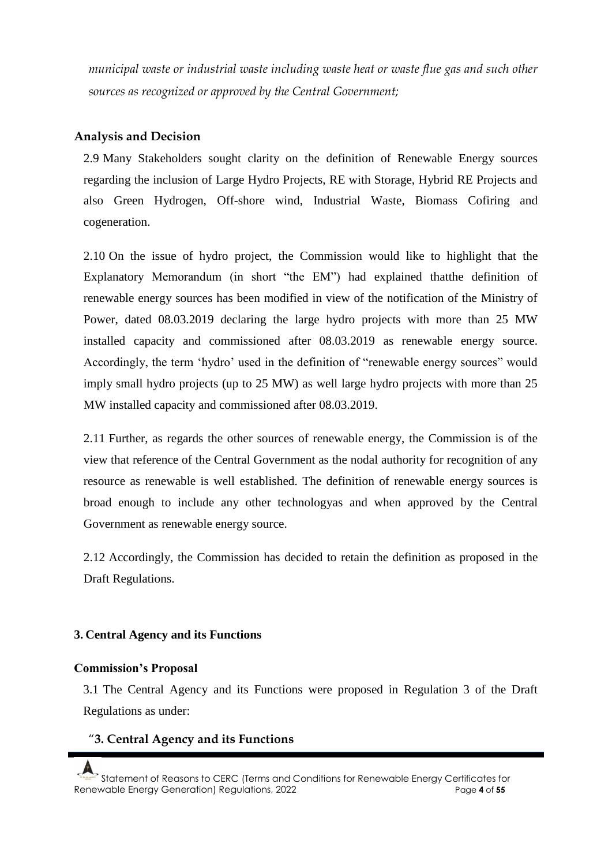*municipal waste or industrial waste including waste heat or waste flue gas and such other sources as recognized or approved by the Central Government;*

# **Analysis and Decision**

2.9 Many Stakeholders sought clarity on the definition of Renewable Energy sources regarding the inclusion of Large Hydro Projects, RE with Storage, Hybrid RE Projects and also Green Hydrogen, Off-shore wind, Industrial Waste, Biomass Cofiring and cogeneration.

2.10 On the issue of hydro project, the Commission would like to highlight that the Explanatory Memorandum (in short "the EM") had explained thatthe definition of renewable energy sources has been modified in view of the notification of the Ministry of Power, dated 08.03.2019 declaring the large hydro projects with more than 25 MW installed capacity and commissioned after 08.03.2019 as renewable energy source. Accordingly, the term 'hydro' used in the definition of "renewable energy sources" would imply small hydro projects (up to 25 MW) as well large hydro projects with more than 25 MW installed capacity and commissioned after 08.03.2019.

2.11 Further, as regards the other sources of renewable energy, the Commission is of the view that reference of the Central Government as the nodal authority for recognition of any resource as renewable is well established. The definition of renewable energy sources is broad enough to include any other technologyas and when approved by the Central Government as renewable energy source.

2.12 Accordingly, the Commission has decided to retain the definition as proposed in the Draft Regulations.

# **3. Central Agency and its Functions**

# **Commission's Proposal**

3.1 The Central Agency and its Functions were proposed in Regulation 3 of the Draft Regulations as under:

# "**3. Central Agency and its Functions**

Statement of Reasons to CERC (Terms and Conditions for Renewable Energy Certificates for Renewable Energy Generation) Regulations, 2022 Page **4** of **55**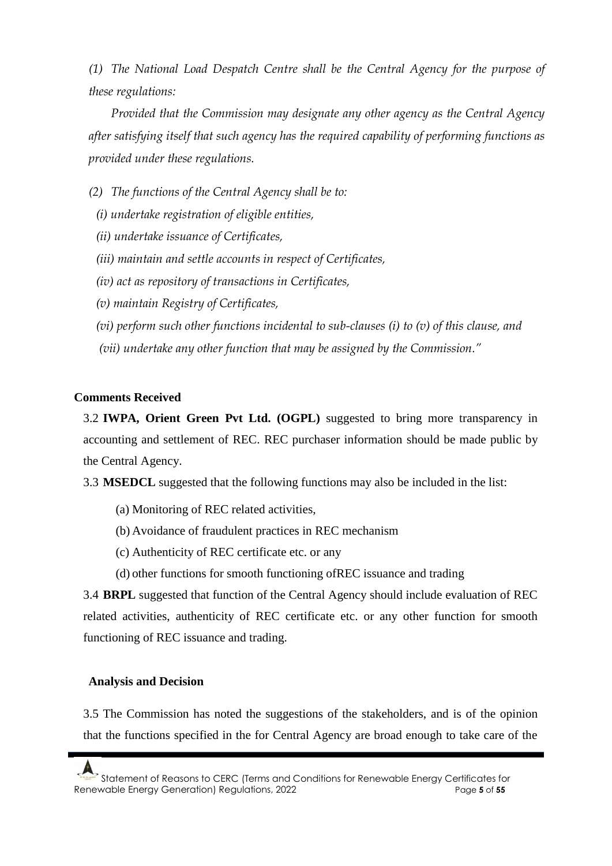*(1) The National Load Despatch Centre shall be the Central Agency for the purpose of these regulations:*

*Provided that the Commission may designate any other agency as the Central Agency after satisfying itself that such agency has the required capability of performing functions as provided under these regulations.* 

- *(2) The functions of the Central Agency shall be to:* 
	- *(i) undertake registration of eligible entities,*
	- *(ii) undertake issuance of Certificates,*
	- *(iii) maintain and settle accounts in respect of Certificates,*
	- *(iv) act as repository of transactions in Certificates,*
	- *(v) maintain Registry of Certificates,*
	- *(vi) perform such other functions incidental to sub-clauses (i) to (v) of this clause, and*
	- *(vii) undertake any other function that may be assigned by the Commission."*

### **Comments Received**

3.2 **IWPA, Orient Green Pvt Ltd. (OGPL)** suggested to bring more transparency in accounting and settlement of REC. REC purchaser information should be made public by the Central Agency.

3.3 **MSEDCL** suggested that the following functions may also be included in the list:

- (a) Monitoring of REC related activities,
- (b) Avoidance of fraudulent practices in REC mechanism
- (c) Authenticity of REC certificate etc. or any
- (d) other functions for smooth functioning ofREC issuance and trading

3.4 **BRPL** suggested that function of the Central Agency should include evaluation of REC related activities, authenticity of REC certificate etc. or any other function for smooth functioning of REC issuance and trading.

### **Analysis and Decision**

3.5 The Commission has noted the suggestions of the stakeholders, and is of the opinion that the functions specified in the for Central Agency are broad enough to take care of the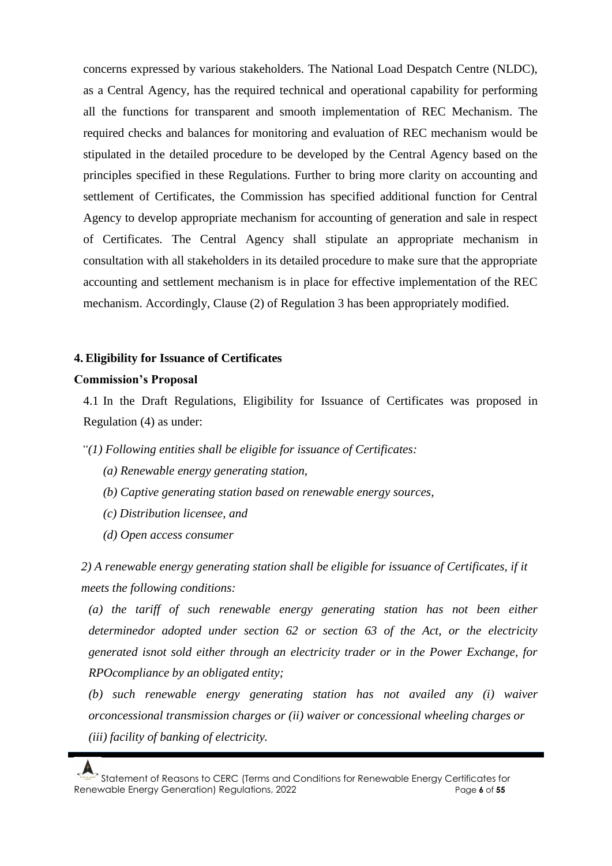concerns expressed by various stakeholders. The National Load Despatch Centre (NLDC), as a Central Agency, has the required technical and operational capability for performing all the functions for transparent and smooth implementation of REC Mechanism. The required checks and balances for monitoring and evaluation of REC mechanism would be stipulated in the detailed procedure to be developed by the Central Agency based on the principles specified in these Regulations. Further to bring more clarity on accounting and settlement of Certificates, the Commission has specified additional function for Central Agency to develop appropriate mechanism for accounting of generation and sale in respect of Certificates. The Central Agency shall stipulate an appropriate mechanism in consultation with all stakeholders in its detailed procedure to make sure that the appropriate accounting and settlement mechanism is in place for effective implementation of the REC mechanism. Accordingly, Clause (2) of Regulation 3 has been appropriately modified.

#### **4. Eligibility for Issuance of Certificates**

#### **Commission's Proposal**

4.1 In the Draft Regulations, Eligibility for Issuance of Certificates was proposed in Regulation (4) as under:

*"(1) Following entities shall be eligible for issuance of Certificates:*

- *(a) Renewable energy generating station,*
- *(b) Captive generating station based on renewable energy sources,*
- *(c) Distribution licensee, and*
- *(d) Open access consumer*

*2) A renewable energy generating station shall be eligible for issuance of Certificates, if it meets the following conditions:*

(a) the tariff of such renewable energy generating station has not been either *determinedor adopted under section 62 or section 63 of the Act, or the electricity generated isnot sold either through an electricity trader or in the Power Exchange, for RPOcompliance by an obligated entity;*

*(b) such renewable energy generating station has not availed any (i) waiver orconcessional transmission charges or (ii) waiver or concessional wheeling charges or (iii) facility of banking of electricity.*

Statement of Reasons to CERC (Terms and Conditions for Renewable Energy Certificates for Renewable Energy Generation) Regulations, 2022 Page **6** of **55**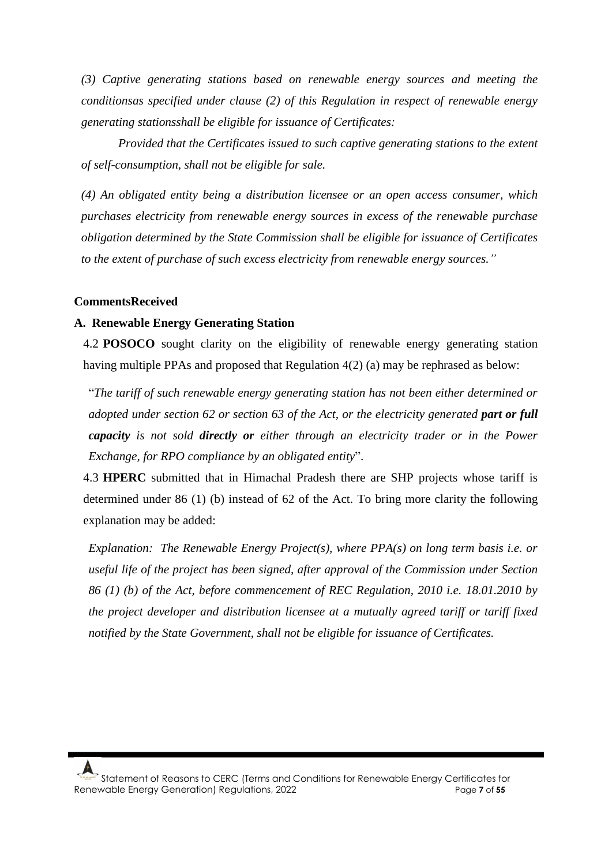*(3) Captive generating stations based on renewable energy sources and meeting the conditionsas specified under clause (2) of this Regulation in respect of renewable energy generating stationsshall be eligible for issuance of Certificates:*

*Provided that the Certificates issued to such captive generating stations to the extent of self-consumption, shall not be eligible for sale.*

*(4) An obligated entity being a distribution licensee or an open access consumer, which purchases electricity from renewable energy sources in excess of the renewable purchase obligation determined by the State Commission shall be eligible for issuance of Certificates to the extent of purchase of such excess electricity from renewable energy sources."*

#### **CommentsReceived**

#### **A. Renewable Energy Generating Station**

4.2 **POSOCO** sought clarity on the eligibility of renewable energy generating station having multiple PPAs and proposed that Regulation 4(2) (a) may be rephrased as below:

"*The tariff of such renewable energy generating station has not been either determined or adopted under section 62 or section 63 of the Act, or the electricity generated part or full capacity is not sold directly or either through an electricity trader or in the Power Exchange, for RPO compliance by an obligated entity*".

4.3 **HPERC** submitted that in Himachal Pradesh there are SHP projects whose tariff is determined under 86 (1) (b) instead of 62 of the Act. To bring more clarity the following explanation may be added:

*Explanation: The Renewable Energy Project(s), where PPA(s) on long term basis i.e. or useful life of the project has been signed, after approval of the Commission under Section 86 (1) (b) of the Act, before commencement of REC Regulation, 2010 i.e. 18.01.2010 by the project developer and distribution licensee at a mutually agreed tariff or tariff fixed notified by the State Government, shall not be eligible for issuance of Certificates.*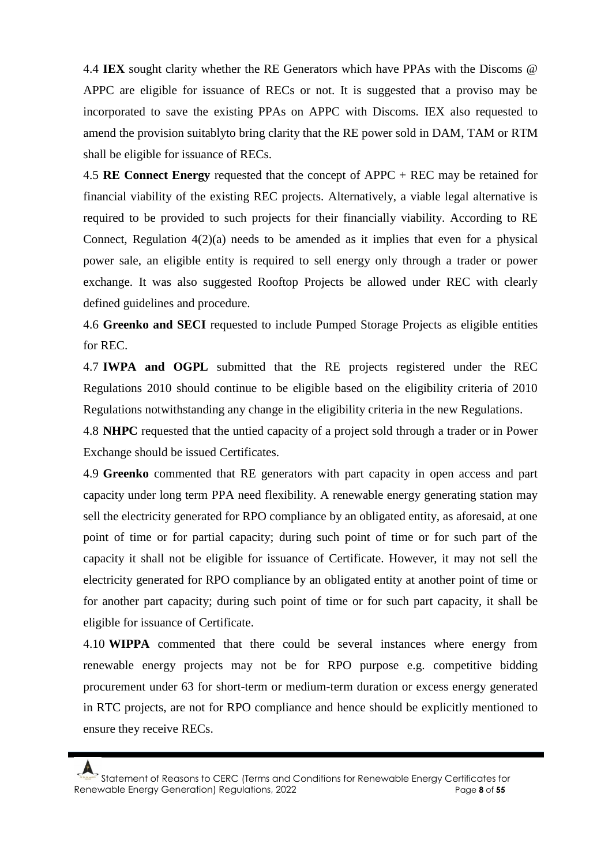4.4 **IEX** sought clarity whether the RE Generators which have PPAs with the Discoms @ APPC are eligible for issuance of RECs or not. It is suggested that a proviso may be incorporated to save the existing PPAs on APPC with Discoms. IEX also requested to amend the provision suitablyto bring clarity that the RE power sold in DAM, TAM or RTM shall be eligible for issuance of RECs.

4.5 **RE Connect Energy** requested that the concept of APPC + REC may be retained for financial viability of the existing REC projects. Alternatively, a viable legal alternative is required to be provided to such projects for their financially viability. According to RE Connect, Regulation  $4(2)(a)$  needs to be amended as it implies that even for a physical power sale, an eligible entity is required to sell energy only through a trader or power exchange. It was also suggested Rooftop Projects be allowed under REC with clearly defined guidelines and procedure.

4.6 **Greenko and SECI** requested to include Pumped Storage Projects as eligible entities for REC.

4.7 **IWPA and OGPL** submitted that the RE projects registered under the REC Regulations 2010 should continue to be eligible based on the eligibility criteria of 2010 Regulations notwithstanding any change in the eligibility criteria in the new Regulations.

4.8 **NHPC** requested that the untied capacity of a project sold through a trader or in Power Exchange should be issued Certificates.

4.9 **Greenko** commented that RE generators with part capacity in open access and part capacity under long term PPA need flexibility. A renewable energy generating station may sell the electricity generated for RPO compliance by an obligated entity, as aforesaid, at one point of time or for partial capacity; during such point of time or for such part of the capacity it shall not be eligible for issuance of Certificate. However, it may not sell the electricity generated for RPO compliance by an obligated entity at another point of time or for another part capacity; during such point of time or for such part capacity, it shall be eligible for issuance of Certificate.

4.10 **WIPPA** commented that there could be several instances where energy from renewable energy projects may not be for RPO purpose e.g. competitive bidding procurement under 63 for short-term or medium-term duration or excess energy generated in RTC projects, are not for RPO compliance and hence should be explicitly mentioned to ensure they receive RECs.

Statement of Reasons to CERC (Terms and Conditions for Renewable Energy Certificates for Renewable Energy Generation) Regulations, 2022 Page **8** of **55**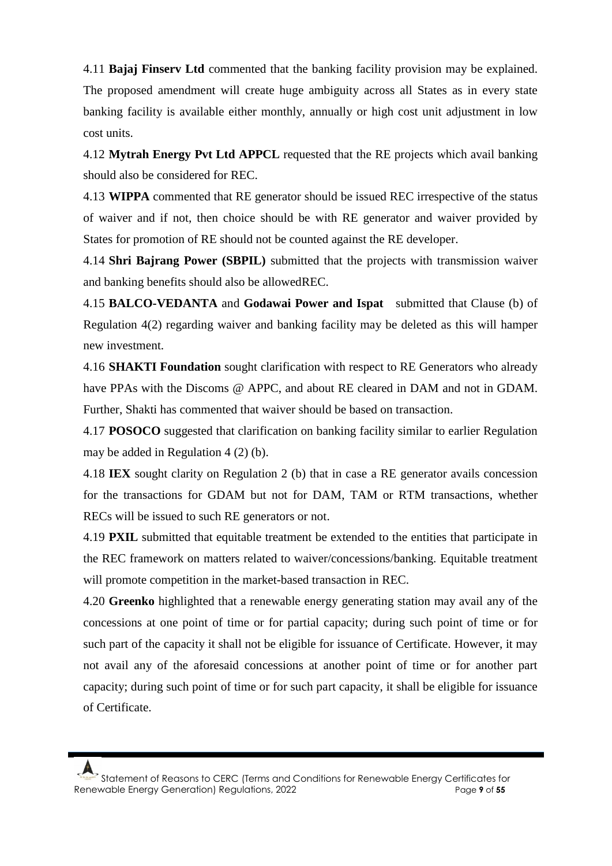4.11 **Bajaj Finserv Ltd** commented that the banking facility provision may be explained. The proposed amendment will create huge ambiguity across all States as in every state banking facility is available either monthly, annually or high cost unit adjustment in low cost units.

4.12 **Mytrah Energy Pvt Ltd APPCL** requested that the RE projects which avail banking should also be considered for REC.

4.13 **WIPPA** commented that RE generator should be issued REC irrespective of the status of waiver and if not, then choice should be with RE generator and waiver provided by States for promotion of RE should not be counted against the RE developer.

4.14 **Shri Bajrang Power (SBPIL)** submitted that the projects with transmission waiver and banking benefits should also be allowedREC.

4.15 **BALCO-VEDANTA** and **Godawai Power and Ispat** submitted that Clause (b) of Regulation 4(2) regarding waiver and banking facility may be deleted as this will hamper new investment.

4.16 **SHAKTI Foundation** sought clarification with respect to RE Generators who already have PPAs with the Discoms @ APPC, and about RE cleared in DAM and not in GDAM. Further, Shakti has commented that waiver should be based on transaction.

4.17 **POSOCO** suggested that clarification on banking facility similar to earlier Regulation may be added in Regulation 4 (2) (b).

4.18 **IEX** sought clarity on Regulation 2 (b) that in case a RE generator avails concession for the transactions for GDAM but not for DAM, TAM or RTM transactions, whether RECs will be issued to such RE generators or not.

4.19 **PXIL** submitted that equitable treatment be extended to the entities that participate in the REC framework on matters related to waiver/concessions/banking. Equitable treatment will promote competition in the market-based transaction in REC.

4.20 **Greenko** highlighted that a renewable energy generating station may avail any of the concessions at one point of time or for partial capacity; during such point of time or for such part of the capacity it shall not be eligible for issuance of Certificate. However, it may not avail any of the aforesaid concessions at another point of time or for another part capacity; during such point of time or for such part capacity, it shall be eligible for issuance of Certificate.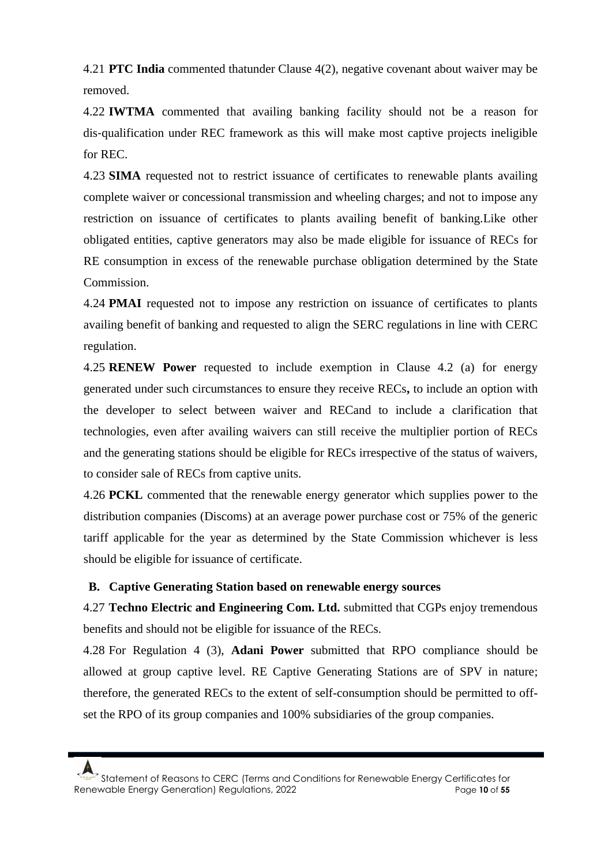4.21 **PTC India** commented thatunder Clause 4(2), negative covenant about waiver may be removed.

4.22 **IWTMA** commented that availing banking facility should not be a reason for dis‐qualification under REC framework as this will make most captive projects ineligible for REC.

4.23 **SIMA** requested not to restrict issuance of certificates to renewable plants availing complete waiver or concessional transmission and wheeling charges; and not to impose any restriction on issuance of certificates to plants availing benefit of banking.Like other obligated entities, captive generators may also be made eligible for issuance of RECs for RE consumption in excess of the renewable purchase obligation determined by the State Commission.

4.24 **PMAI** requested not to impose any restriction on issuance of certificates to plants availing benefit of banking and requested to align the SERC regulations in line with CERC regulation.

4.25 **RENEW Power** requested to include exemption in Clause 4.2 (a) for energy generated under such circumstances to ensure they receive RECs**,** to include an option with the developer to select between waiver and RECand to include a clarification that technologies, even after availing waivers can still receive the multiplier portion of RECs and the generating stations should be eligible for RECs irrespective of the status of waivers, to consider sale of RECs from captive units.

4.26 **PCKL** commented that the renewable energy generator which supplies power to the distribution companies (Discoms) at an average power purchase cost or 75% of the generic tariff applicable for the year as determined by the State Commission whichever is less should be eligible for issuance of certificate.

### **B. Captive Generating Station based on renewable energy sources**

4.27 **Techno Electric and Engineering Com. Ltd.** submitted that CGPs enjoy tremendous benefits and should not be eligible for issuance of the RECs.

4.28 For Regulation 4 (3), **Adani Power** submitted that RPO compliance should be allowed at group captive level. RE Captive Generating Stations are of SPV in nature; therefore, the generated RECs to the extent of self-consumption should be permitted to offset the RPO of its group companies and 100% subsidiaries of the group companies.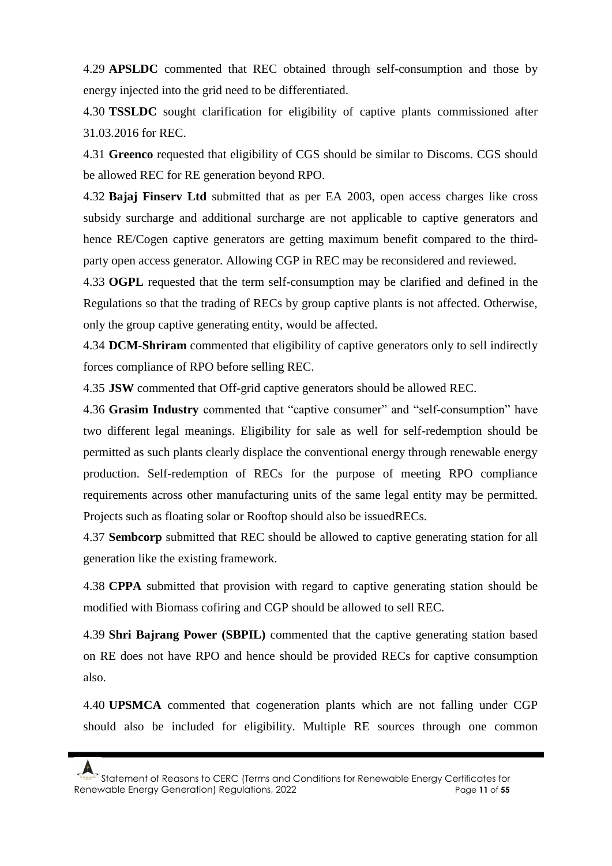4.29 **APSLDC** commented that REC obtained through self-consumption and those by energy injected into the grid need to be differentiated.

4.30 **TSSLDC** sought clarification for eligibility of captive plants commissioned after 31.03.2016 for REC.

4.31 **Greenco** requested that eligibility of CGS should be similar to Discoms. CGS should be allowed REC for RE generation beyond RPO.

4.32 **Bajaj Finserv Ltd** submitted that as per EA 2003, open access charges like cross subsidy surcharge and additional surcharge are not applicable to captive generators and hence RE/Cogen captive generators are getting maximum benefit compared to the thirdparty open access generator. Allowing CGP in REC may be reconsidered and reviewed.

4.33 **OGPL** requested that the term self-consumption may be clarified and defined in the Regulations so that the trading of RECs by group captive plants is not affected. Otherwise, only the group captive generating entity, would be affected.

4.34 **DCM-Shriram** commented that eligibility of captive generators only to sell indirectly forces compliance of RPO before selling REC.

4.35 **JSW** commented that Off-grid captive generators should be allowed REC.

4.36 **Grasim Industry** commented that "captive consumer" and "self-consumption" have two different legal meanings. Eligibility for sale as well for self-redemption should be permitted as such plants clearly displace the conventional energy through renewable energy production. Self-redemption of RECs for the purpose of meeting RPO compliance requirements across other manufacturing units of the same legal entity may be permitted. Projects such as floating solar or Rooftop should also be issuedRECs.

4.37 **Sembcorp** submitted that REC should be allowed to captive generating station for all generation like the existing framework.

4.38 **CPPA** submitted that provision with regard to captive generating station should be modified with Biomass cofiring and CGP should be allowed to sell REC.

4.39 **Shri Bajrang Power (SBPIL)** commented that the captive generating station based on RE does not have RPO and hence should be provided RECs for captive consumption also.

4.40 **UPSMCA** commented that cogeneration plants which are not falling under CGP should also be included for eligibility. Multiple RE sources through one common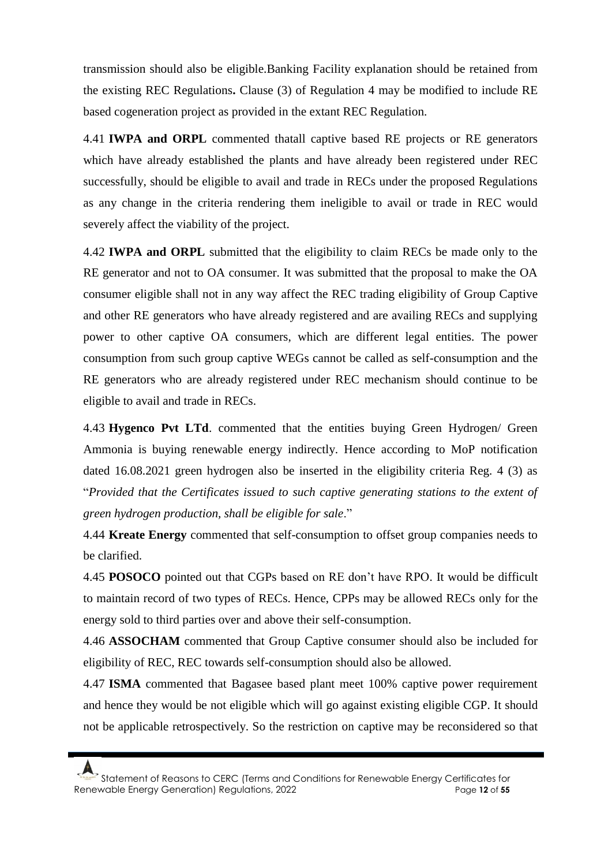transmission should also be eligible.Banking Facility explanation should be retained from the existing REC Regulations**.** Clause (3) of Regulation 4 may be modified to include RE based cogeneration project as provided in the extant REC Regulation.

4.41 **IWPA and ORPL** commented thatall captive based RE projects or RE generators which have already established the plants and have already been registered under REC successfully, should be eligible to avail and trade in RECs under the proposed Regulations as any change in the criteria rendering them ineligible to avail or trade in REC would severely affect the viability of the project.

4.42 **IWPA and ORPL** submitted that the eligibility to claim RECs be made only to the RE generator and not to OA consumer. It was submitted that the proposal to make the OA consumer eligible shall not in any way affect the REC trading eligibility of Group Captive and other RE generators who have already registered and are availing RECs and supplying power to other captive OA consumers, which are different legal entities. The power consumption from such group captive WEGs cannot be called as self-consumption and the RE generators who are already registered under REC mechanism should continue to be eligible to avail and trade in RECs.

4.43 **Hygenco Pvt LTd**. commented that the entities buying Green Hydrogen/ Green Ammonia is buying renewable energy indirectly. Hence according to MoP notification dated 16.08.2021 green hydrogen also be inserted in the eligibility criteria Reg. 4 (3) as "*Provided that the Certificates issued to such captive generating stations to the extent of green hydrogen production, shall be eligible for sale*."

4.44 **Kreate Energy** commented that self-consumption to offset group companies needs to be clarified.

4.45 **POSOCO** pointed out that CGPs based on RE don't have RPO. It would be difficult to maintain record of two types of RECs. Hence, CPPs may be allowed RECs only for the energy sold to third parties over and above their self-consumption.

4.46 **ASSOCHAM** commented that Group Captive consumer should also be included for eligibility of REC, REC towards self-consumption should also be allowed.

4.47 **ISMA** commented that Bagasee based plant meet 100% captive power requirement and hence they would be not eligible which will go against existing eligible CGP. It should not be applicable retrospectively. So the restriction on captive may be reconsidered so that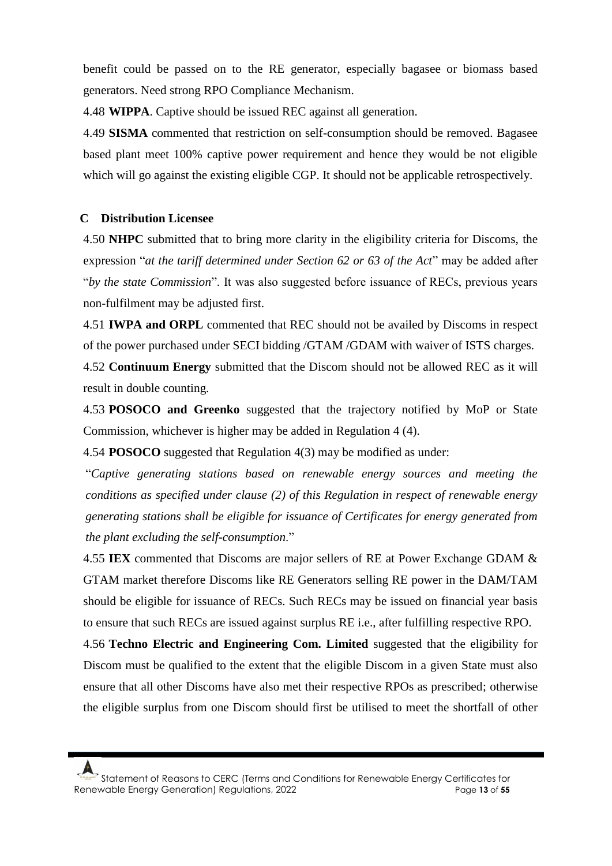benefit could be passed on to the RE generator, especially bagasee or biomass based generators. Need strong RPO Compliance Mechanism.

4.48 **WIPPA**. Captive should be issued REC against all generation.

4.49 **SISMA** commented that restriction on self-consumption should be removed. Bagasee based plant meet 100% captive power requirement and hence they would be not eligible which will go against the existing eligible CGP. It should not be applicable retrospectively.

### **C Distribution Licensee**

4.50 **NHPC** submitted that to bring more clarity in the eligibility criteria for Discoms, the expression "*at the tariff determined under Section 62 or 63 of the Act*" may be added after "*by the state Commission*". It was also suggested before issuance of RECs, previous years non-fulfilment may be adjusted first.

4.51 **IWPA and ORPL** commented that REC should not be availed by Discoms in respect of the power purchased under SECI bidding /GTAM /GDAM with waiver of ISTS charges.

4.52 **Continuum Energy** submitted that the Discom should not be allowed REC as it will result in double counting.

4.53 **POSOCO and Greenko** suggested that the trajectory notified by MoP or State Commission, whichever is higher may be added in Regulation 4 (4).

4.54 **POSOCO** suggested that Regulation 4(3) may be modified as under:

"*Captive generating stations based on renewable energy sources and meeting the conditions as specified under clause (2) of this Regulation in respect of renewable energy generating stations shall be eligible for issuance of Certificates for energy generated from the plant excluding the self-consumption*."

4.55 **IEX** commented that Discoms are major sellers of RE at Power Exchange GDAM & GTAM market therefore Discoms like RE Generators selling RE power in the DAM/TAM should be eligible for issuance of RECs. Such RECs may be issued on financial year basis to ensure that such RECs are issued against surplus RE i.e., after fulfilling respective RPO.

4.56 **Techno Electric and Engineering Com. Limited** suggested that the eligibility for Discom must be qualified to the extent that the eligible Discom in a given State must also ensure that all other Discoms have also met their respective RPOs as prescribed; otherwise the eligible surplus from one Discom should first be utilised to meet the shortfall of other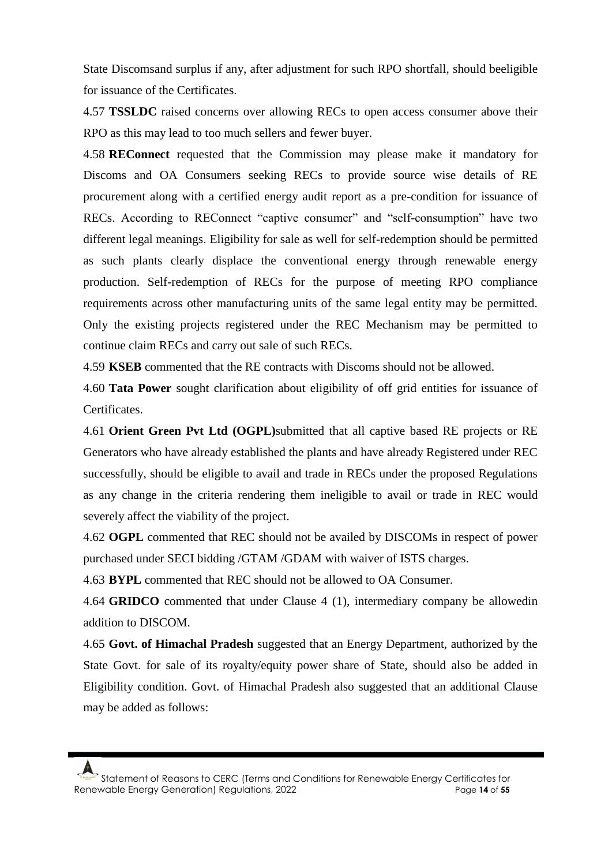State Discomsand surplus if any, after adjustment for such RPO shortfall, should beeligible for issuance of the Certificates.

4.57 **TSSLDC** raised concerns over allowing RECs to open access consumer above their RPO as this may lead to too much sellers and fewer buyer.

4.58 **REConnect** requested that the Commission may please make it mandatory for Discoms and OA Consumers seeking RECs to provide source wise details of RE procurement along with a certified energy audit report as a pre-condition for issuance of RECs. According to REConnect "captive consumer" and "self-consumption" have two different legal meanings. Eligibility for sale as well for self-redemption should be permitted as such plants clearly displace the conventional energy through renewable energy production. Self-redemption of RECs for the purpose of meeting RPO compliance requirements across other manufacturing units of the same legal entity may be permitted. Only the existing projects registered under the REC Mechanism may be permitted to continue claim RECs and carry out sale of such RECs.

4.59 **KSEB** commented that the RE contracts with Discoms should not be allowed.

4.60 **Tata Power** sought clarification about eligibility of off grid entities for issuance of Certificates.

4.61 **Orient Green Pvt Ltd (OGPL)**submitted that all captive based RE projects or RE Generators who have already established the plants and have already Registered under REC successfully, should be eligible to avail and trade in RECs under the proposed Regulations as any change in the criteria rendering them ineligible to avail or trade in REC would severely affect the viability of the project.

4.62 **OGPL** commented that REC should not be availed by DISCOMs in respect of power purchased under SECI bidding /GTAM /GDAM with waiver of ISTS charges.

4.63 **BYPL** commented that REC should not be allowed to OA Consumer.

4.64 **GRIDCO** commented that under Clause 4 (1), intermediary company be allowedin addition to DISCOM.

4.65 **Govt. of Himachal Pradesh** suggested that an Energy Department, authorized by the State Govt. for sale of its royalty/equity power share of State, should also be added in Eligibility condition. Govt. of Himachal Pradesh also suggested that an additional Clause may be added as follows: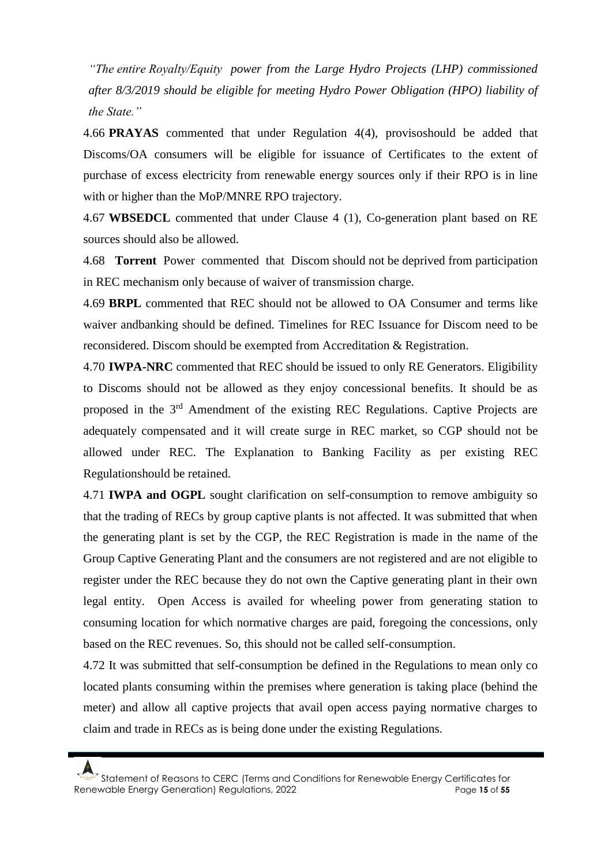*"The entire Royalty/Equity power from the Large Hydro Projects (LHP) commissioned after 8/3/2019 should be eligible for meeting Hydro Power Obligation (HPO) liability of the State."*

4.66 **PRAYAS** commented that under Regulation 4(4), provisoshould be added that Discoms/OA consumers will be eligible for issuance of Certificates to the extent of purchase of excess electricity from renewable energy sources only if their RPO is in line with or higher than the MoP/MNRE RPO trajectory.

4.67 **WBSEDCL** commented that under Clause 4 (1), Co-generation plant based on RE sources should also be allowed.

4.68 **Torrent** Power commented that Discom should not be deprived from participation in REC mechanism only because of waiver of transmission charge.

4.69 **BRPL** commented that REC should not be allowed to OA Consumer and terms like waiver andbanking should be defined. Timelines for REC Issuance for Discom need to be reconsidered. Discom should be exempted from Accreditation & Registration.

4.70 **IWPA-NRC** commented that REC should be issued to only RE Generators. Eligibility to Discoms should not be allowed as they enjoy concessional benefits. It should be as proposed in the 3rd Amendment of the existing REC Regulations. Captive Projects are adequately compensated and it will create surge in REC market, so CGP should not be allowed under REC. The Explanation to Banking Facility as per existing REC Regulationshould be retained.

4.71 **IWPA and OGPL** sought clarification on self-consumption to remove ambiguity so that the trading of RECs by group captive plants is not affected. It was submitted that when the generating plant is set by the CGP, the REC Registration is made in the name of the Group Captive Generating Plant and the consumers are not registered and are not eligible to register under the REC because they do not own the Captive generating plant in their own legal entity. Open Access is availed for wheeling power from generating station to consuming location for which normative charges are paid, foregoing the concessions, only based on the REC revenues. So, this should not be called self-consumption.

4.72 It was submitted that self-consumption be defined in the Regulations to mean only co located plants consuming within the premises where generation is taking place (behind the meter) and allow all captive projects that avail open access paying normative charges to claim and trade in RECs as is being done under the existing Regulations.

Statement of Reasons to CERC (Terms and Conditions for Renewable Energy Certificates for Renewable Energy Generation) Regulations, 2022 Page **15** of **55**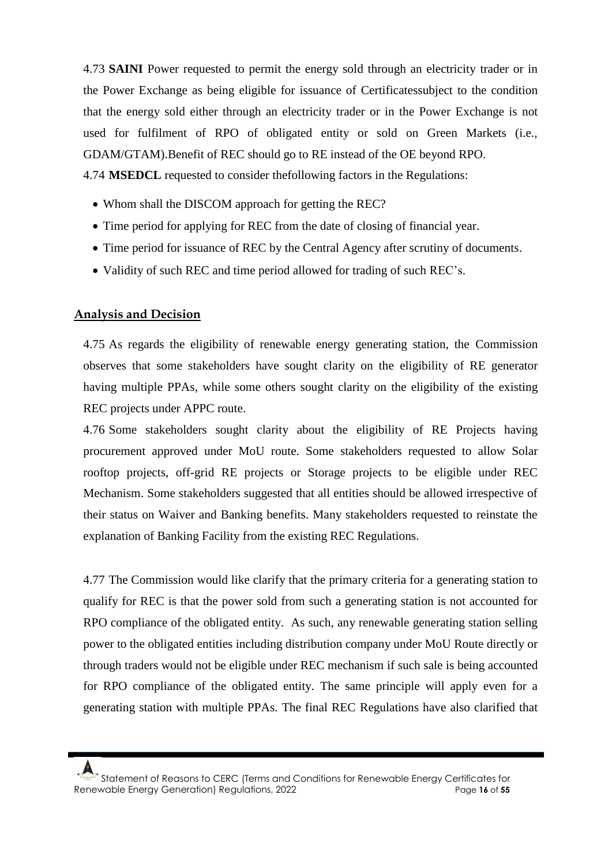4.73 **SAINI** Power requested to permit the energy sold through an electricity trader or in the Power Exchange as being eligible for issuance of Certificatessubject to the condition that the energy sold either through an electricity trader or in the Power Exchange is not used for fulfilment of RPO of obligated entity or sold on Green Markets (i.e., GDAM/GTAM).Benefit of REC should go to RE instead of the OE beyond RPO.

4.74 **MSEDCL** requested to consider thefollowing factors in the Regulations:

- Whom shall the DISCOM approach for getting the REC?
- Time period for applying for REC from the date of closing of financial year.
- Time period for issuance of REC by the Central Agency after scrutiny of documents.
- Validity of such REC and time period allowed for trading of such REC's.

# **Analysis and Decision**

4.75 As regards the eligibility of renewable energy generating station, the Commission observes that some stakeholders have sought clarity on the eligibility of RE generator having multiple PPAs, while some others sought clarity on the eligibility of the existing REC projects under APPC route.

4.76 Some stakeholders sought clarity about the eligibility of RE Projects having procurement approved under MoU route. Some stakeholders requested to allow Solar rooftop projects, off-grid RE projects or Storage projects to be eligible under REC Mechanism. Some stakeholders suggested that all entities should be allowed irrespective of their status on Waiver and Banking benefits. Many stakeholders requested to reinstate the explanation of Banking Facility from the existing REC Regulations.

4.77 The Commission would like clarify that the primary criteria for a generating station to qualify for REC is that the power sold from such a generating station is not accounted for RPO compliance of the obligated entity. As such, any renewable generating station selling power to the obligated entities including distribution company under MoU Route directly or through traders would not be eligible under REC mechanism if such sale is being accounted for RPO compliance of the obligated entity. The same principle will apply even for a generating station with multiple PPAs. The final REC Regulations have also clarified that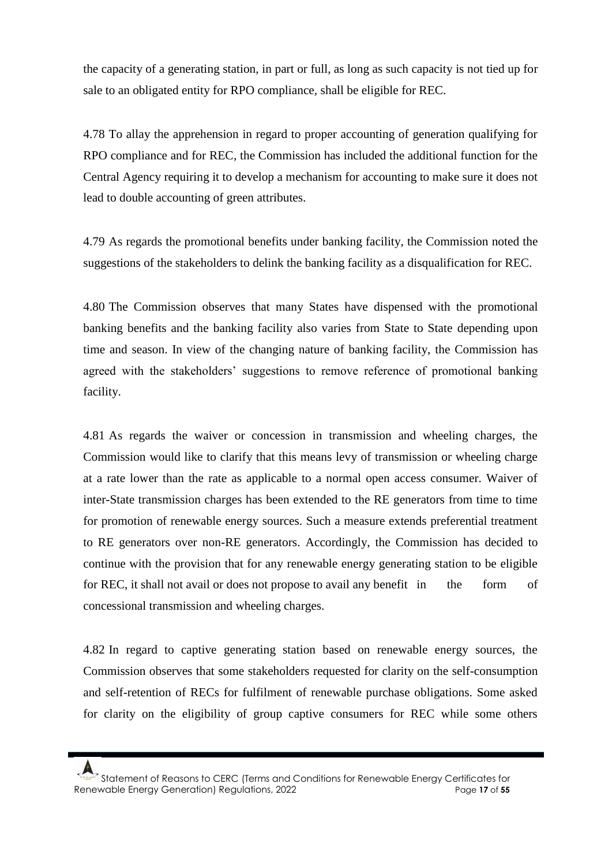the capacity of a generating station, in part or full, as long as such capacity is not tied up for sale to an obligated entity for RPO compliance, shall be eligible for REC.

4.78 To allay the apprehension in regard to proper accounting of generation qualifying for RPO compliance and for REC, the Commission has included the additional function for the Central Agency requiring it to develop a mechanism for accounting to make sure it does not lead to double accounting of green attributes.

4.79 As regards the promotional benefits under banking facility, the Commission noted the suggestions of the stakeholders to delink the banking facility as a disqualification for REC.

4.80 The Commission observes that many States have dispensed with the promotional banking benefits and the banking facility also varies from State to State depending upon time and season. In view of the changing nature of banking facility, the Commission has agreed with the stakeholders' suggestions to remove reference of promotional banking facility.

4.81 As regards the waiver or concession in transmission and wheeling charges, the Commission would like to clarify that this means levy of transmission or wheeling charge at a rate lower than the rate as applicable to a normal open access consumer. Waiver of inter-State transmission charges has been extended to the RE generators from time to time for promotion of renewable energy sources. Such a measure extends preferential treatment to RE generators over non-RE generators. Accordingly, the Commission has decided to continue with the provision that for any renewable energy generating station to be eligible for REC, it shall not avail or does not propose to avail any benefit in the form of concessional transmission and wheeling charges.

4.82 In regard to captive generating station based on renewable energy sources, the Commission observes that some stakeholders requested for clarity on the self-consumption and self-retention of RECs for fulfilment of renewable purchase obligations. Some asked for clarity on the eligibility of group captive consumers for REC while some others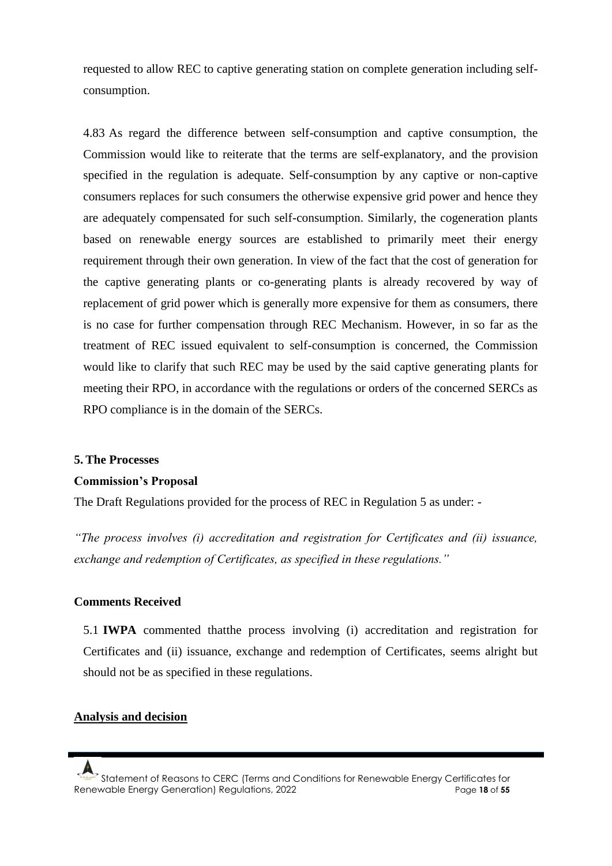requested to allow REC to captive generating station on complete generation including selfconsumption.

4.83 As regard the difference between self-consumption and captive consumption, the Commission would like to reiterate that the terms are self-explanatory, and the provision specified in the regulation is adequate. Self-consumption by any captive or non-captive consumers replaces for such consumers the otherwise expensive grid power and hence they are adequately compensated for such self-consumption. Similarly, the cogeneration plants based on renewable energy sources are established to primarily meet their energy requirement through their own generation. In view of the fact that the cost of generation for the captive generating plants or co-generating plants is already recovered by way of replacement of grid power which is generally more expensive for them as consumers, there is no case for further compensation through REC Mechanism. However, in so far as the treatment of REC issued equivalent to self-consumption is concerned, the Commission would like to clarify that such REC may be used by the said captive generating plants for meeting their RPO, in accordance with the regulations or orders of the concerned SERCs as RPO compliance is in the domain of the SERCs.

#### **5. The Processes**

#### **Commission's Proposal**

The Draft Regulations provided for the process of REC in Regulation 5 as under: -

*"The process involves (i) accreditation and registration for Certificates and (ii) issuance, exchange and redemption of Certificates, as specified in these regulations."*

### **Comments Received**

5.1 **IWPA** commented thatthe process involving (i) accreditation and registration for Certificates and (ii) issuance, exchange and redemption of Certificates, seems alright but should not be as specified in these regulations.

### **Analysis and decision**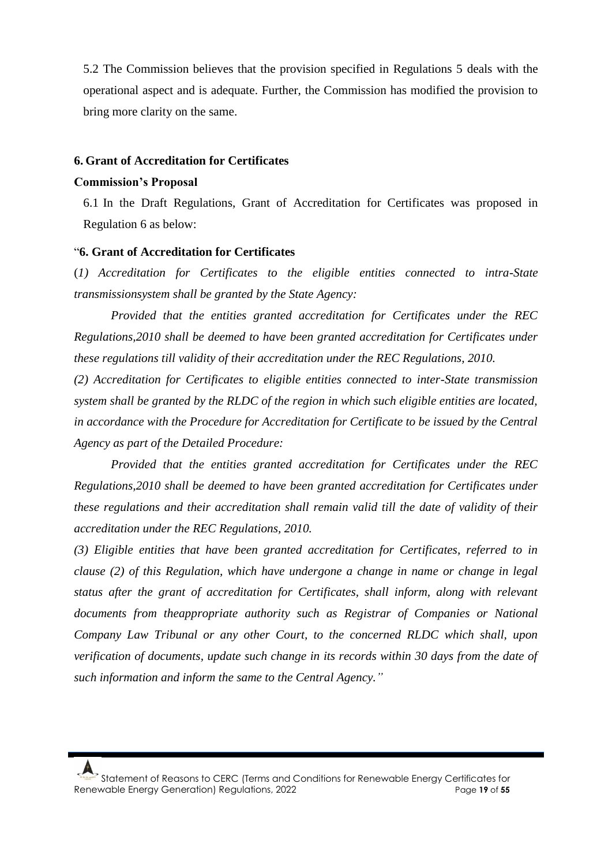5.2 The Commission believes that the provision specified in Regulations 5 deals with the operational aspect and is adequate. Further, the Commission has modified the provision to bring more clarity on the same.

#### **6. Grant of Accreditation for Certificates**

#### **Commission's Proposal**

6.1 In the Draft Regulations, Grant of Accreditation for Certificates was proposed in Regulation 6 as below:

#### "**6. Grant of Accreditation for Certificates**

(*1) Accreditation for Certificates to the eligible entities connected to intra-State transmissionsystem shall be granted by the State Agency:*

*Provided that the entities granted accreditation for Certificates under the REC Regulations,2010 shall be deemed to have been granted accreditation for Certificates under these regulations till validity of their accreditation under the REC Regulations, 2010.*

*(2) Accreditation for Certificates to eligible entities connected to inter-State transmission system shall be granted by the RLDC of the region in which such eligible entities are located, in accordance with the Procedure for Accreditation for Certificate to be issued by the Central Agency as part of the Detailed Procedure:*

*Provided that the entities granted accreditation for Certificates under the REC Regulations,2010 shall be deemed to have been granted accreditation for Certificates under these regulations and their accreditation shall remain valid till the date of validity of their accreditation under the REC Regulations, 2010.*

*(3) Eligible entities that have been granted accreditation for Certificates, referred to in clause (2) of this Regulation, which have undergone a change in name or change in legal status after the grant of accreditation for Certificates, shall inform, along with relevant documents from theappropriate authority such as Registrar of Companies or National Company Law Tribunal or any other Court, to the concerned RLDC which shall, upon verification of documents, update such change in its records within 30 days from the date of such information and inform the same to the Central Agency."*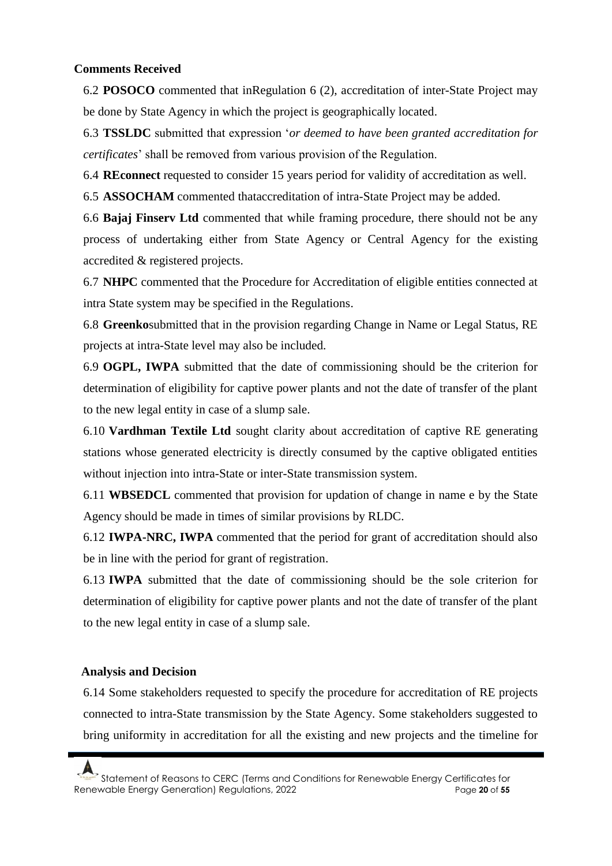### **Comments Received**

6.2 **POSOCO** commented that inRegulation 6 (2), accreditation of inter-State Project may be done by State Agency in which the project is geographically located.

6.3 **TSSLDC** submitted that expression '*or deemed to have been granted accreditation for certificates*' shall be removed from various provision of the Regulation.

6.4 **REconnect** requested to consider 15 years period for validity of accreditation as well.

6.5 **ASSOCHAM** commented thataccreditation of intra-State Project may be added.

6.6 **Bajaj Finserv Ltd** commented that while framing procedure, there should not be any process of undertaking either from State Agency or Central Agency for the existing accredited & registered projects.

6.7 **NHPC** commented that the Procedure for Accreditation of eligible entities connected at intra State system may be specified in the Regulations.

6.8 **Greenko**submitted that in the provision regarding Change in Name or Legal Status, RE projects at intra-State level may also be included.

6.9 **OGPL, IWPA** submitted that the date of commissioning should be the criterion for determination of eligibility for captive power plants and not the date of transfer of the plant to the new legal entity in case of a slump sale.

6.10 **Vardhman Textile Ltd** sought clarity about accreditation of captive RE generating stations whose generated electricity is directly consumed by the captive obligated entities without injection into intra-State or inter-State transmission system.

6.11 **WBSEDCL** commented that provision for updation of change in name e by the State Agency should be made in times of similar provisions by RLDC.

6.12 **IWPA-NRC, IWPA** commented that the period for grant of accreditation should also be in line with the period for grant of registration.

6.13 **IWPA** submitted that the date of commissioning should be the sole criterion for determination of eligibility for captive power plants and not the date of transfer of the plant to the new legal entity in case of a slump sale.

# **Analysis and Decision**

6.14 Some stakeholders requested to specify the procedure for accreditation of RE projects connected to intra-State transmission by the State Agency. Some stakeholders suggested to bring uniformity in accreditation for all the existing and new projects and the timeline for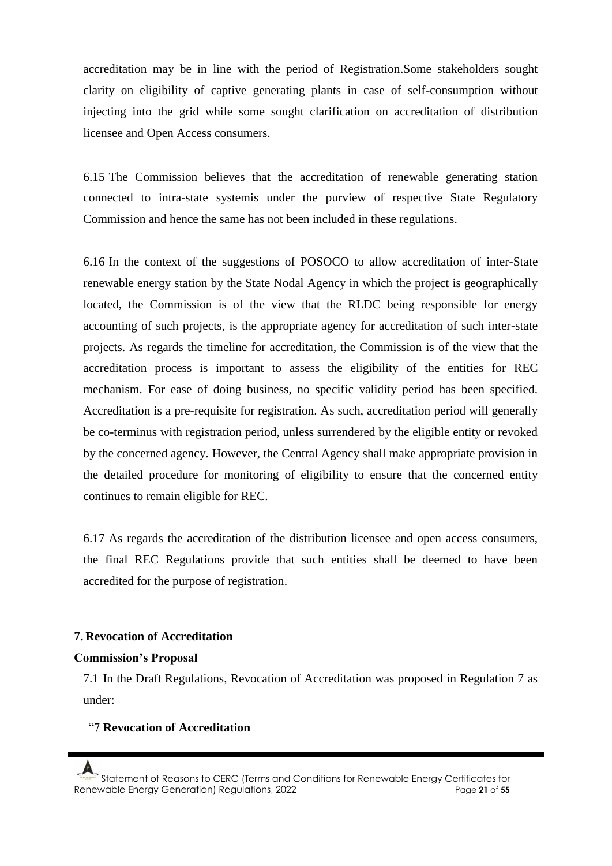accreditation may be in line with the period of Registration.Some stakeholders sought clarity on eligibility of captive generating plants in case of self-consumption without injecting into the grid while some sought clarification on accreditation of distribution licensee and Open Access consumers.

6.15 The Commission believes that the accreditation of renewable generating station connected to intra-state systemis under the purview of respective State Regulatory Commission and hence the same has not been included in these regulations.

6.16 In the context of the suggestions of POSOCO to allow accreditation of inter-State renewable energy station by the State Nodal Agency in which the project is geographically located, the Commission is of the view that the RLDC being responsible for energy accounting of such projects, is the appropriate agency for accreditation of such inter-state projects. As regards the timeline for accreditation, the Commission is of the view that the accreditation process is important to assess the eligibility of the entities for REC mechanism. For ease of doing business, no specific validity period has been specified. Accreditation is a pre-requisite for registration. As such, accreditation period will generally be co-terminus with registration period, unless surrendered by the eligible entity or revoked by the concerned agency. However, the Central Agency shall make appropriate provision in the detailed procedure for monitoring of eligibility to ensure that the concerned entity continues to remain eligible for REC.

6.17 As regards the accreditation of the distribution licensee and open access consumers, the final REC Regulations provide that such entities shall be deemed to have been accredited for the purpose of registration.

### **7. Revocation of Accreditation**

#### **Commission's Proposal**

7.1 In the Draft Regulations, Revocation of Accreditation was proposed in Regulation 7 as under:

#### "7 **Revocation of Accreditation**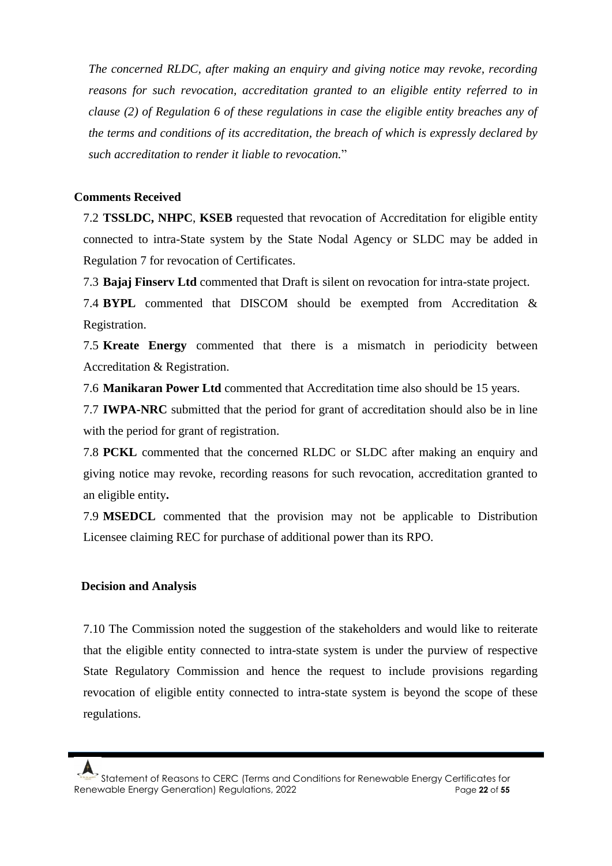*The concerned RLDC, after making an enquiry and giving notice may revoke, recording reasons for such revocation, accreditation granted to an eligible entity referred to in clause (2) of Regulation 6 of these regulations in case the eligible entity breaches any of the terms and conditions of its accreditation, the breach of which is expressly declared by such accreditation to render it liable to revocation.*"

### **Comments Received**

7.2 **TSSLDC, NHPC**, **KSEB** requested that revocation of Accreditation for eligible entity connected to intra-State system by the State Nodal Agency or SLDC may be added in Regulation 7 for revocation of Certificates.

7.3 **Bajaj Finserv Ltd** commented that Draft is silent on revocation for intra-state project.

7.4 **BYPL** commented that DISCOM should be exempted from Accreditation & Registration.

7.5 **Kreate Energy** commented that there is a mismatch in periodicity between Accreditation & Registration.

7.6 **Manikaran Power Ltd** commented that Accreditation time also should be 15 years.

7.7 **IWPA-NRC** submitted that the period for grant of accreditation should also be in line with the period for grant of registration.

7.8 **PCKL** commented that the concerned RLDC or SLDC after making an enquiry and giving notice may revoke, recording reasons for such revocation, accreditation granted to an eligible entity**.**

7.9 **MSEDCL** commented that the provision may not be applicable to Distribution Licensee claiming REC for purchase of additional power than its RPO.

### **Decision and Analysis**

7.10 The Commission noted the suggestion of the stakeholders and would like to reiterate that the eligible entity connected to intra-state system is under the purview of respective State Regulatory Commission and hence the request to include provisions regarding revocation of eligible entity connected to intra-state system is beyond the scope of these regulations.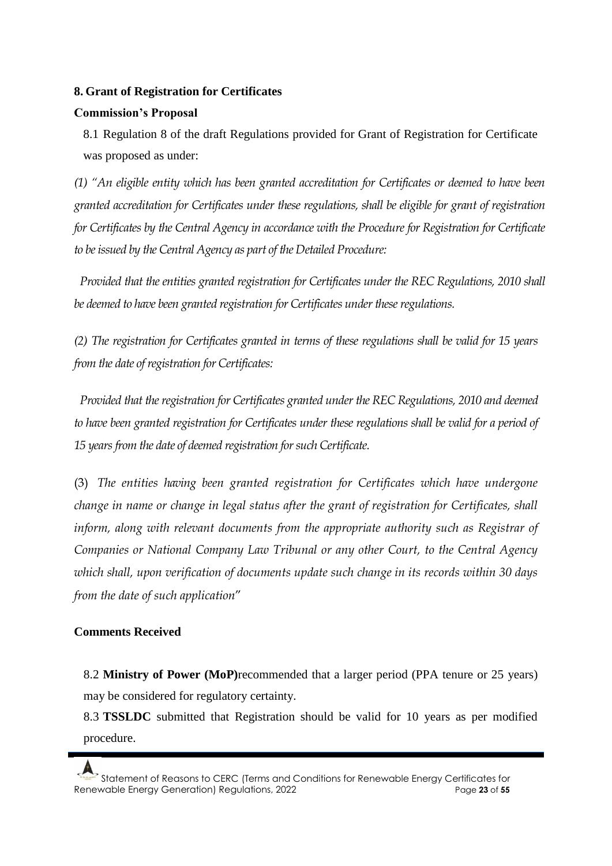# **8. Grant of Registration for Certificates**

# **Commission's Proposal**

8.1 Regulation 8 of the draft Regulations provided for Grant of Registration for Certificate was proposed as under:

*(1) "An eligible entity which has been granted accreditation for Certificates or deemed to have been granted accreditation for Certificates under these regulations, shall be eligible for grant of registration for Certificates by the Central Agency in accordance with the Procedure for Registration for Certificate to be issued by the Central Agency as part of the Detailed Procedure:* 

*Provided that the entities granted registration for Certificates under the REC Regulations, 2010 shall be deemed to have been granted registration for Certificates under these regulations.* 

*(2) The registration for Certificates granted in terms of these regulations shall be valid for 15 years from the date of registration for Certificates:*

*Provided that the registration for Certificates granted under the REC Regulations, 2010 and deemed to have been granted registration for Certificates under these regulations shall be valid for a period of 15 years from the date of deemed registration for such Certificate.* 

(3) *The entities having been granted registration for Certificates which have undergone change in name or change in legal status after the grant of registration for Certificates, shall*  inform, along with relevant documents from the appropriate authority such as Registrar of *Companies or National Company Law Tribunal or any other Court, to the Central Agency which shall, upon verification of documents update such change in its records within 30 days from the date of such application*"

# **Comments Received**

8.2 **Ministry of Power (MoP)**recommended that a larger period (PPA tenure or 25 years) may be considered for regulatory certainty.

8.3 **TSSLDC** submitted that Registration should be valid for 10 years as per modified procedure.

Statement of Reasons to CERC (Terms and Conditions for Renewable Energy Certificates for Renewable Energy Generation) Regulations, 2022 **Page 23** of 55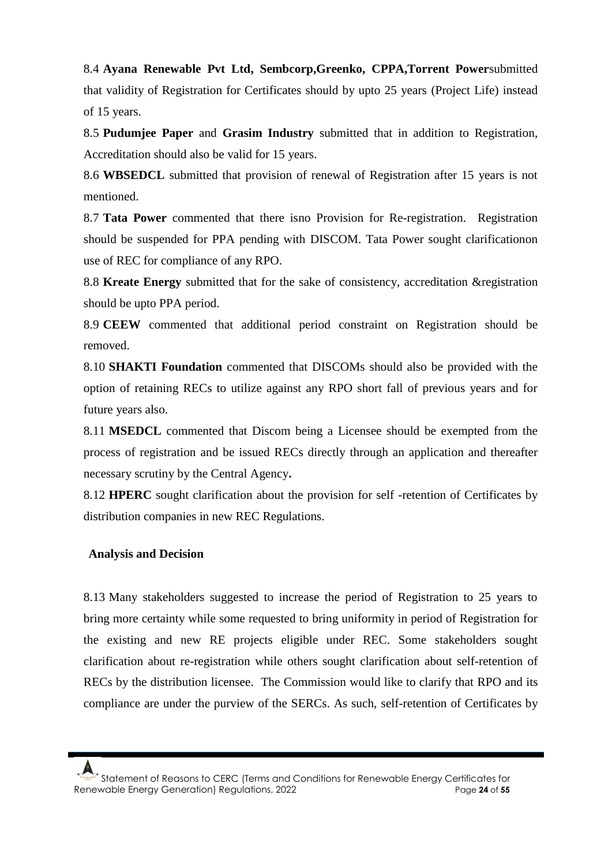8.4 **Ayana Renewable Pvt Ltd, Sembcorp,Greenko, CPPA,Torrent Power**submitted that validity of Registration for Certificates should by upto 25 years (Project Life) instead of 15 years.

8.5 **Pudumjee Paper** and **Grasim Industry** submitted that in addition to Registration, Accreditation should also be valid for 15 years.

8.6 **WBSEDCL** submitted that provision of renewal of Registration after 15 years is not mentioned.

8.7 **Tata Power** commented that there isno Provision for Re-registration. Registration should be suspended for PPA pending with DISCOM. Tata Power sought clarificationon use of REC for compliance of any RPO.

8.8 **Kreate Energy** submitted that for the sake of consistency, accreditation & registration should be upto PPA period.

8.9 **CEEW** commented that additional period constraint on Registration should be removed.

8.10 **SHAKTI Foundation** commented that DISCOMs should also be provided with the option of retaining RECs to utilize against any RPO short fall of previous years and for future years also.

8.11 **MSEDCL** commented that Discom being a Licensee should be exempted from the process of registration and be issued RECs directly through an application and thereafter necessary scrutiny by the Central Agency**.**

8.12 **HPERC** sought clarification about the provision for self -retention of Certificates by distribution companies in new REC Regulations.

### **Analysis and Decision**

8.13 Many stakeholders suggested to increase the period of Registration to 25 years to bring more certainty while some requested to bring uniformity in period of Registration for the existing and new RE projects eligible under REC. Some stakeholders sought clarification about re-registration while others sought clarification about self-retention of RECs by the distribution licensee. The Commission would like to clarify that RPO and its compliance are under the purview of the SERCs. As such, self-retention of Certificates by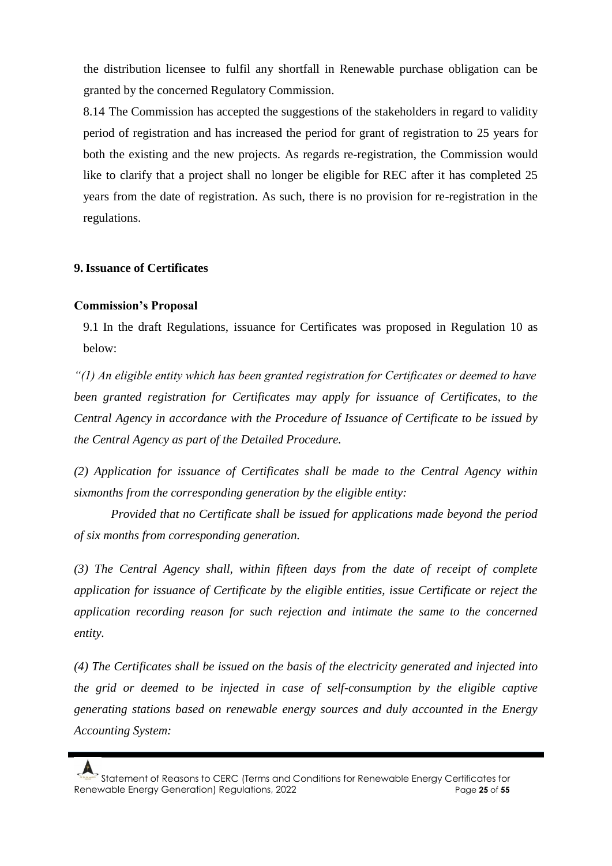the distribution licensee to fulfil any shortfall in Renewable purchase obligation can be granted by the concerned Regulatory Commission.

8.14 The Commission has accepted the suggestions of the stakeholders in regard to validity period of registration and has increased the period for grant of registration to 25 years for both the existing and the new projects. As regards re-registration, the Commission would like to clarify that a project shall no longer be eligible for REC after it has completed 25 years from the date of registration. As such, there is no provision for re-registration in the regulations.

### **9.Issuance of Certificates**

### **Commission's Proposal**

9.1 In the draft Regulations, issuance for Certificates was proposed in Regulation 10 as below:

*"(1) An eligible entity which has been granted registration for Certificates or deemed to have been granted registration for Certificates may apply for issuance of Certificates, to the Central Agency in accordance with the Procedure of Issuance of Certificate to be issued by the Central Agency as part of the Detailed Procedure.*

*(2) Application for issuance of Certificates shall be made to the Central Agency within sixmonths from the corresponding generation by the eligible entity:*

*Provided that no Certificate shall be issued for applications made beyond the period of six months from corresponding generation.*

*(3) The Central Agency shall, within fifteen days from the date of receipt of complete application for issuance of Certificate by the eligible entities, issue Certificate or reject the application recording reason for such rejection and intimate the same to the concerned entity.*

*(4) The Certificates shall be issued on the basis of the electricity generated and injected into the grid or deemed to be injected in case of self-consumption by the eligible captive generating stations based on renewable energy sources and duly accounted in the Energy Accounting System:*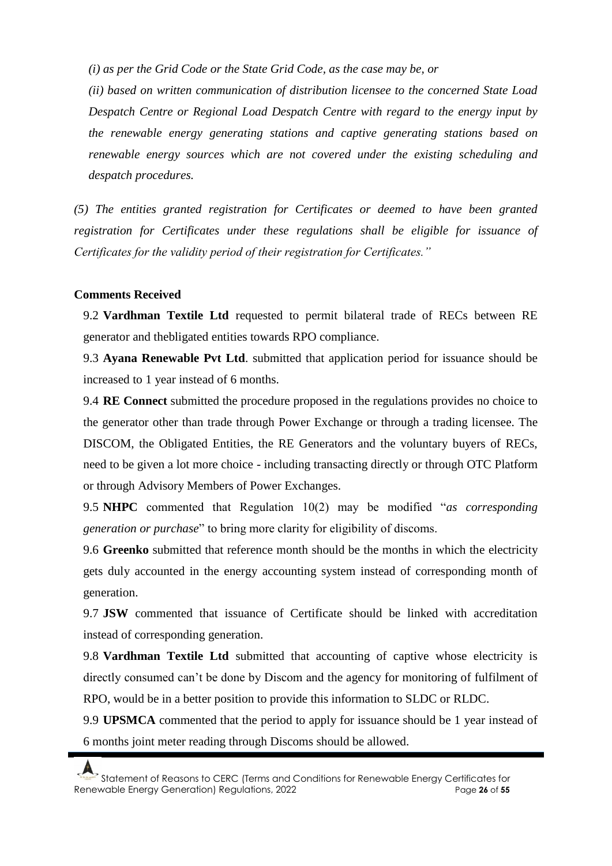*(i) as per the Grid Code or the State Grid Code, as the case may be, or*

*(ii) based on written communication of distribution licensee to the concerned State Load Despatch Centre or Regional Load Despatch Centre with regard to the energy input by the renewable energy generating stations and captive generating stations based on renewable energy sources which are not covered under the existing scheduling and despatch procedures.*

*(5) The entities granted registration for Certificates or deemed to have been granted registration for Certificates under these regulations shall be eligible for issuance of Certificates for the validity period of their registration for Certificates."*

### **Comments Received**

9.2 **Vardhman Textile Ltd** requested to permit bilateral trade of RECs between RE generator and thebligated entities towards RPO compliance.

9.3 **Ayana Renewable Pvt Ltd**. submitted that application period for issuance should be increased to 1 year instead of 6 months.

9.4 **RE Connect** submitted the procedure proposed in the regulations provides no choice to the generator other than trade through Power Exchange or through a trading licensee. The DISCOM, the Obligated Entities, the RE Generators and the voluntary buyers of RECs, need to be given a lot more choice - including transacting directly or through OTC Platform or through Advisory Members of Power Exchanges.

9.5 **NHPC** commented that Regulation 10(2) may be modified "*as corresponding generation or purchase*" to bring more clarity for eligibility of discoms.

9.6 **Greenko** submitted that reference month should be the months in which the electricity gets duly accounted in the energy accounting system instead of corresponding month of generation.

9.7 **JSW** commented that issuance of Certificate should be linked with accreditation instead of corresponding generation.

9.8 **Vardhman Textile Ltd** submitted that accounting of captive whose electricity is directly consumed can't be done by Discom and the agency for monitoring of fulfilment of RPO, would be in a better position to provide this information to SLDC or RLDC.

9.9 **UPSMCA** commented that the period to apply for issuance should be 1 year instead of 6 months joint meter reading through Discoms should be allowed.

Statement of Reasons to CERC (Terms and Conditions for Renewable Energy Certificates for Renewable Energy Generation) Regulations, 2022 Page **26** of **55**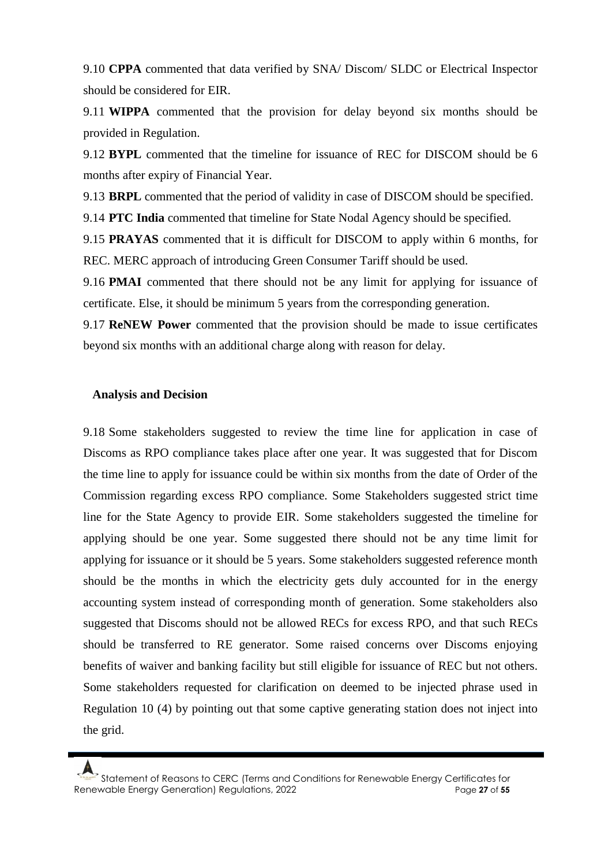9.10 **CPPA** commented that data verified by SNA/ Discom/ SLDC or Electrical Inspector should be considered for EIR.

9.11 **WIPPA** commented that the provision for delay beyond six months should be provided in Regulation.

9.12 **BYPL** commented that the timeline for issuance of REC for DISCOM should be 6 months after expiry of Financial Year.

9.13 **BRPL** commented that the period of validity in case of DISCOM should be specified.

9.14 **PTC India** commented that timeline for State Nodal Agency should be specified.

9.15 **PRAYAS** commented that it is difficult for DISCOM to apply within 6 months, for REC. MERC approach of introducing Green Consumer Tariff should be used.

9.16 **PMAI** commented that there should not be any limit for applying for issuance of certificate. Else, it should be minimum 5 years from the corresponding generation.

9.17 **ReNEW Power** commented that the provision should be made to issue certificates beyond six months with an additional charge along with reason for delay.

#### **Analysis and Decision**

9.18 Some stakeholders suggested to review the time line for application in case of Discoms as RPO compliance takes place after one year. It was suggested that for Discom the time line to apply for issuance could be within six months from the date of Order of the Commission regarding excess RPO compliance. Some Stakeholders suggested strict time line for the State Agency to provide EIR. Some stakeholders suggested the timeline for applying should be one year. Some suggested there should not be any time limit for applying for issuance or it should be 5 years. Some stakeholders suggested reference month should be the months in which the electricity gets duly accounted for in the energy accounting system instead of corresponding month of generation. Some stakeholders also suggested that Discoms should not be allowed RECs for excess RPO, and that such RECs should be transferred to RE generator. Some raised concerns over Discoms enjoying benefits of waiver and banking facility but still eligible for issuance of REC but not others. Some stakeholders requested for clarification on deemed to be injected phrase used in Regulation 10 (4) by pointing out that some captive generating station does not inject into the grid.

Statement of Reasons to CERC (Terms and Conditions for Renewable Energy Certificates for Renewable Energy Generation) Regulations, 2022 Page **27** of **55**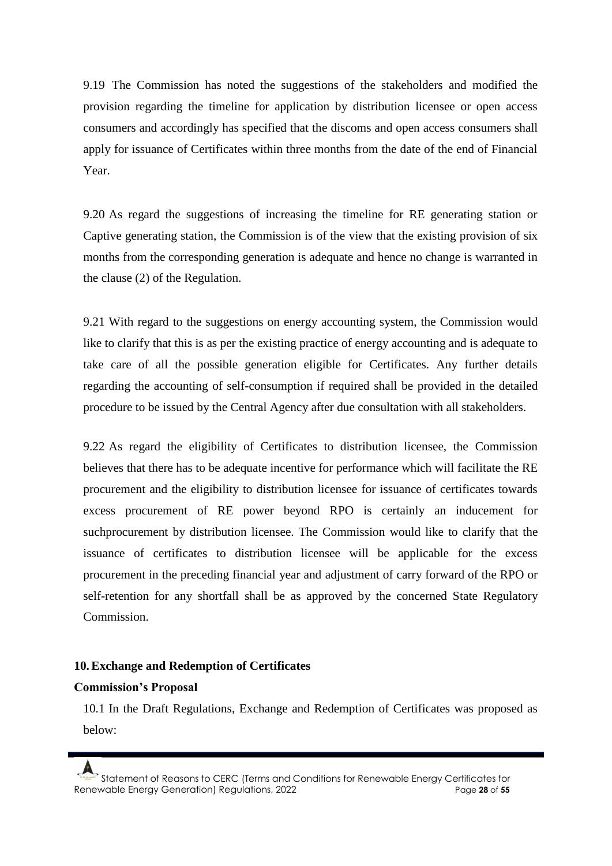9.19 The Commission has noted the suggestions of the stakeholders and modified the provision regarding the timeline for application by distribution licensee or open access consumers and accordingly has specified that the discoms and open access consumers shall apply for issuance of Certificates within three months from the date of the end of Financial Year.

9.20 As regard the suggestions of increasing the timeline for RE generating station or Captive generating station, the Commission is of the view that the existing provision of six months from the corresponding generation is adequate and hence no change is warranted in the clause (2) of the Regulation.

9.21 With regard to the suggestions on energy accounting system, the Commission would like to clarify that this is as per the existing practice of energy accounting and is adequate to take care of all the possible generation eligible for Certificates. Any further details regarding the accounting of self-consumption if required shall be provided in the detailed procedure to be issued by the Central Agency after due consultation with all stakeholders.

9.22 As regard the eligibility of Certificates to distribution licensee, the Commission believes that there has to be adequate incentive for performance which will facilitate the RE procurement and the eligibility to distribution licensee for issuance of certificates towards excess procurement of RE power beyond RPO is certainly an inducement for suchprocurement by distribution licensee. The Commission would like to clarify that the issuance of certificates to distribution licensee will be applicable for the excess procurement in the preceding financial year and adjustment of carry forward of the RPO or self-retention for any shortfall shall be as approved by the concerned State Regulatory Commission.

### **10.Exchange and Redemption of Certificates**

### **Commission's Proposal**

10.1 In the Draft Regulations, Exchange and Redemption of Certificates was proposed as below: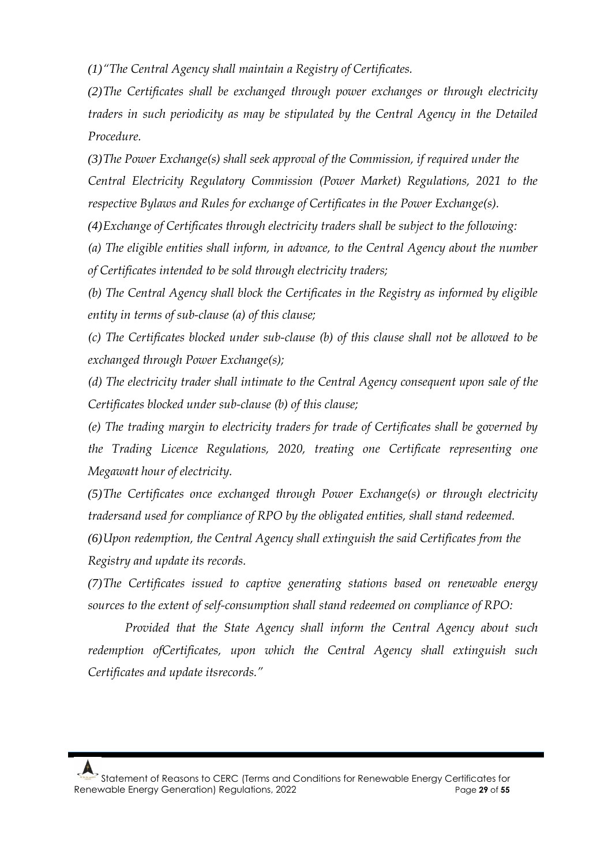*(1)"The Central Agency shall maintain a Registry of Certificates.*

*(2)The Certificates shall be exchanged through power exchanges or through electricity traders in such periodicity as may be stipulated by the Central Agency in the Detailed Procedure.*

*(3)The Power Exchange(s) shall seek approval of the Commission, if required under the Central Electricity Regulatory Commission (Power Market) Regulations, 2021 to the respective Bylaws and Rules for exchange of Certificates in the Power Exchange(s).*

*(4)Exchange of Certificates through electricity traders shall be subject to the following:*

*(a) The eligible entities shall inform, in advance, to the Central Agency about the number of Certificates intended to be sold through electricity traders;*

*(b) The Central Agency shall block the Certificates in the Registry as informed by eligible entity in terms of sub-clause (a) of this clause;*

*(c) The Certificates blocked under sub-clause (b) of this clause shall not be allowed to be exchanged through Power Exchange(s);*

*(d) The electricity trader shall intimate to the Central Agency consequent upon sale of the Certificates blocked under sub-clause (b) of this clause;*

*(e) The trading margin to electricity traders for trade of Certificates shall be governed by the Trading Licence Regulations, 2020, treating one Certificate representing one Megawatt hour of electricity.*

*(5)The Certificates once exchanged through Power Exchange(s) or through electricity tradersand used for compliance of RPO by the obligated entities, shall stand redeemed.*

*(6)Upon redemption, the Central Agency shall extinguish the said Certificates from the Registry and update its records.*

*(7)The Certificates issued to captive generating stations based on renewable energy sources to the extent of self-consumption shall stand redeemed on compliance of RPO:*

*Provided that the State Agency shall inform the Central Agency about such redemption ofCertificates, upon which the Central Agency shall extinguish such Certificates and update itsrecords."*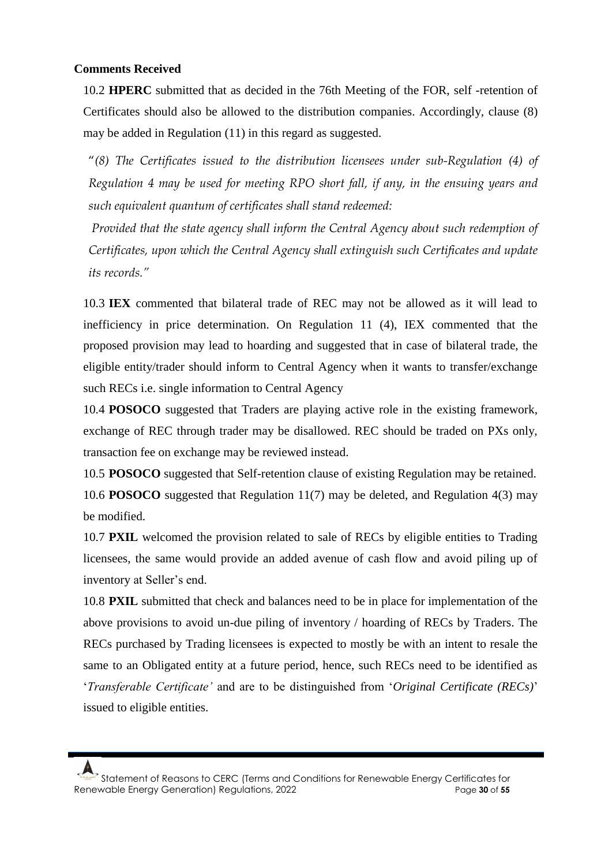### **Comments Received**

10.2 **HPERC** submitted that as decided in the 76th Meeting of the FOR, self -retention of Certificates should also be allowed to the distribution companies. Accordingly, clause (8) may be added in Regulation (11) in this regard as suggested.

"*(8) The Certificates issued to the distribution licensees under sub-Regulation (4) of Regulation 4 may be used for meeting RPO short fall, if any, in the ensuing years and such equivalent quantum of certificates shall stand redeemed:*

*Provided that the state agency shall inform the Central Agency about such redemption of Certificates, upon which the Central Agency shall extinguish such Certificates and update its records."* 

10.3 **IEX** commented that bilateral trade of REC may not be allowed as it will lead to inefficiency in price determination. On Regulation 11 (4), IEX commented that the proposed provision may lead to hoarding and suggested that in case of bilateral trade, the eligible entity/trader should inform to Central Agency when it wants to transfer/exchange such RECs i.e. single information to Central Agency

10.4 **POSOCO** suggested that Traders are playing active role in the existing framework, exchange of REC through trader may be disallowed. REC should be traded on PXs only, transaction fee on exchange may be reviewed instead.

10.5 **POSOCO** suggested that Self-retention clause of existing Regulation may be retained. 10.6 **POSOCO** suggested that Regulation 11(7) may be deleted, and Regulation 4(3) may be modified.

10.7 **PXIL** welcomed the provision related to sale of RECs by eligible entities to Trading licensees, the same would provide an added avenue of cash flow and avoid piling up of inventory at Seller's end.

10.8 **PXIL** submitted that check and balances need to be in place for implementation of the above provisions to avoid un-due piling of inventory / hoarding of RECs by Traders. The RECs purchased by Trading licensees is expected to mostly be with an intent to resale the same to an Obligated entity at a future period, hence, such RECs need to be identified as '*Transferable Certificate'* and are to be distinguished from '*Original Certificate (RECs)*' issued to eligible entities.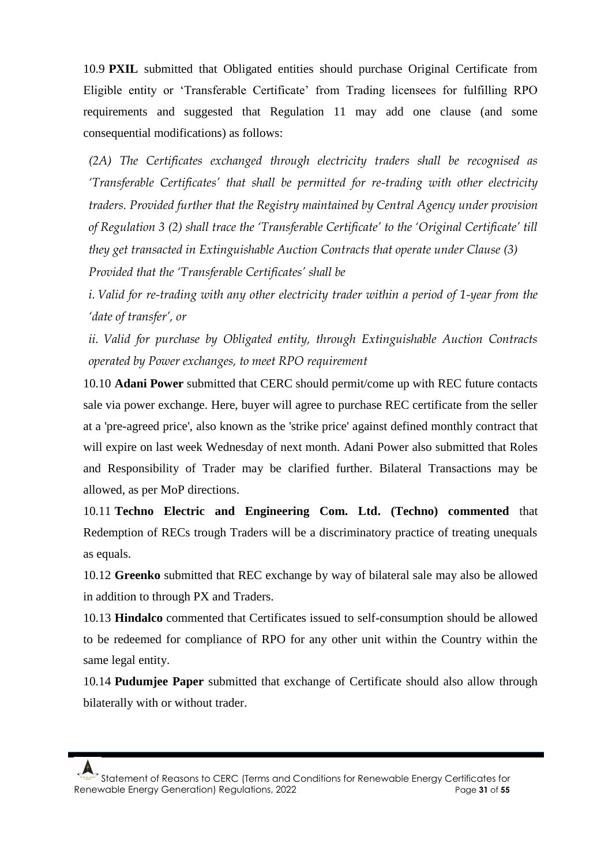10.9 **PXIL** submitted that Obligated entities should purchase Original Certificate from Eligible entity or 'Transferable Certificate' from Trading licensees for fulfilling RPO requirements and suggested that Regulation 11 may add one clause (and some consequential modifications) as follows:

*(2A) The Certificates exchanged through electricity traders shall be recognised as 'Transferable Certificates' that shall be permitted for re-trading with other electricity traders. Provided further that the Registry maintained by Central Agency under provision of Regulation 3 (2) shall trace the 'Transferable Certificate' to the 'Original Certificate' till they get transacted in Extinguishable Auction Contracts that operate under Clause (3) Provided that the 'Transferable Certificates' shall be* 

*i. Valid for re-trading with any other electricity trader within a period of 1-year from the 'date of transfer', or* 

*ii. Valid for purchase by Obligated entity, through Extinguishable Auction Contracts operated by Power exchanges, to meet RPO requirement*

10.10 **Adani Power** submitted that CERC should permit/come up with REC future contacts sale via power exchange. Here, buyer will agree to purchase REC certificate from the seller at a 'pre-agreed price', also known as the 'strike price' against defined monthly contract that will expire on last week Wednesday of next month. Adani Power also submitted that Roles and Responsibility of Trader may be clarified further. Bilateral Transactions may be allowed, as per MoP directions.

10.11 **Techno Electric and Engineering Com. Ltd. (Techno) commented** that Redemption of RECs trough Traders will be a discriminatory practice of treating unequals as equals.

10.12 **Greenko** submitted that REC exchange by way of bilateral sale may also be allowed in addition to through PX and Traders.

10.13 **Hindalco** commented that Certificates issued to self-consumption should be allowed to be redeemed for compliance of RPO for any other unit within the Country within the same legal entity.

10.14 **Pudumjee Paper** submitted that exchange of Certificate should also allow through bilaterally with or without trader.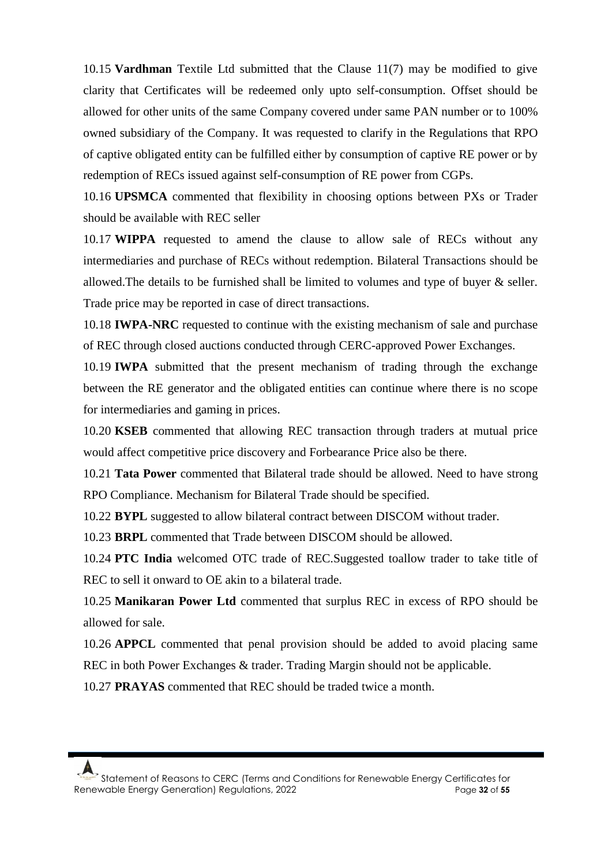10.15 **Vardhman** Textile Ltd submitted that the Clause 11(7) may be modified to give clarity that Certificates will be redeemed only upto self-consumption. Offset should be allowed for other units of the same Company covered under same PAN number or to 100% owned subsidiary of the Company. It was requested to clarify in the Regulations that RPO of captive obligated entity can be fulfilled either by consumption of captive RE power or by redemption of RECs issued against self-consumption of RE power from CGPs.

10.16 **UPSMCA** commented that flexibility in choosing options between PXs or Trader should be available with REC seller

10.17 **WIPPA** requested to amend the clause to allow sale of RECs without any intermediaries and purchase of RECs without redemption. Bilateral Transactions should be allowed. The details to be furnished shall be limited to volumes and type of buyer  $\&$  seller. Trade price may be reported in case of direct transactions.

10.18 **IWPA-NRC** requested to continue with the existing mechanism of sale and purchase of REC through closed auctions conducted through CERC-approved Power Exchanges.

10.19 **IWPA** submitted that the present mechanism of trading through the exchange between the RE generator and the obligated entities can continue where there is no scope for intermediaries and gaming in prices.

10.20 **KSEB** commented that allowing REC transaction through traders at mutual price would affect competitive price discovery and Forbearance Price also be there.

10.21 **Tata Power** commented that Bilateral trade should be allowed. Need to have strong RPO Compliance. Mechanism for Bilateral Trade should be specified.

10.22 **BYPL** suggested to allow bilateral contract between DISCOM without trader.

10.23 **BRPL** commented that Trade between DISCOM should be allowed.

10.24 **PTC India** welcomed OTC trade of REC.Suggested toallow trader to take title of REC to sell it onward to OE akin to a bilateral trade.

10.25 **Manikaran Power Ltd** commented that surplus REC in excess of RPO should be allowed for sale.

10.26 **APPCL** commented that penal provision should be added to avoid placing same REC in both Power Exchanges & trader. Trading Margin should not be applicable.

10.27 **PRAYAS** commented that REC should be traded twice a month.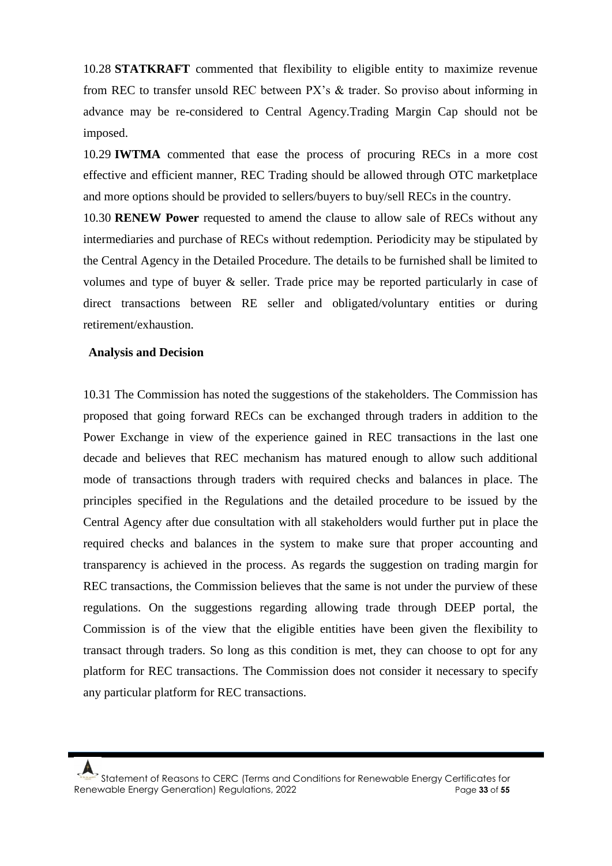10.28 **STATKRAFT** commented that flexibility to eligible entity to maximize revenue from REC to transfer unsold REC between PX's & trader. So proviso about informing in advance may be re-considered to Central Agency.Trading Margin Cap should not be imposed.

10.29 **IWTMA** commented that ease the process of procuring RECs in a more cost effective and efficient manner, REC Trading should be allowed through OTC marketplace and more options should be provided to sellers/buyers to buy/sell RECs in the country.

10.30 **RENEW Power** requested to amend the clause to allow sale of RECs without any intermediaries and purchase of RECs without redemption. Periodicity may be stipulated by the Central Agency in the Detailed Procedure. The details to be furnished shall be limited to volumes and type of buyer & seller. Trade price may be reported particularly in case of direct transactions between RE seller and obligated/voluntary entities or during retirement/exhaustion.

#### **Analysis and Decision**

10.31 The Commission has noted the suggestions of the stakeholders. The Commission has proposed that going forward RECs can be exchanged through traders in addition to the Power Exchange in view of the experience gained in REC transactions in the last one decade and believes that REC mechanism has matured enough to allow such additional mode of transactions through traders with required checks and balances in place. The principles specified in the Regulations and the detailed procedure to be issued by the Central Agency after due consultation with all stakeholders would further put in place the required checks and balances in the system to make sure that proper accounting and transparency is achieved in the process. As regards the suggestion on trading margin for REC transactions, the Commission believes that the same is not under the purview of these regulations. On the suggestions regarding allowing trade through DEEP portal, the Commission is of the view that the eligible entities have been given the flexibility to transact through traders. So long as this condition is met, they can choose to opt for any platform for REC transactions. The Commission does not consider it necessary to specify any particular platform for REC transactions.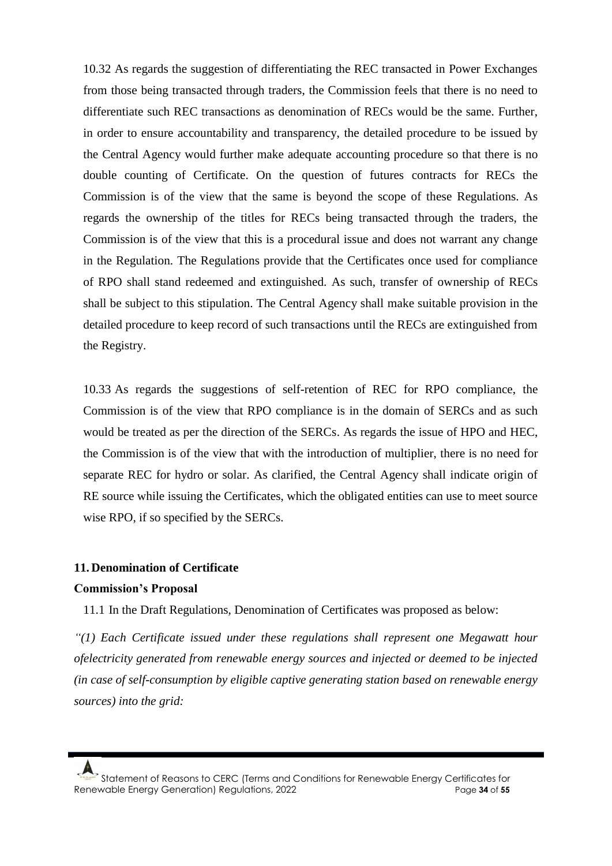10.32 As regards the suggestion of differentiating the REC transacted in Power Exchanges from those being transacted through traders, the Commission feels that there is no need to differentiate such REC transactions as denomination of RECs would be the same. Further, in order to ensure accountability and transparency, the detailed procedure to be issued by the Central Agency would further make adequate accounting procedure so that there is no double counting of Certificate. On the question of futures contracts for RECs the Commission is of the view that the same is beyond the scope of these Regulations. As regards the ownership of the titles for RECs being transacted through the traders, the Commission is of the view that this is a procedural issue and does not warrant any change in the Regulation. The Regulations provide that the Certificates once used for compliance of RPO shall stand redeemed and extinguished. As such, transfer of ownership of RECs shall be subject to this stipulation. The Central Agency shall make suitable provision in the detailed procedure to keep record of such transactions until the RECs are extinguished from the Registry.

10.33 As regards the suggestions of self-retention of REC for RPO compliance, the Commission is of the view that RPO compliance is in the domain of SERCs and as such would be treated as per the direction of the SERCs. As regards the issue of HPO and HEC, the Commission is of the view that with the introduction of multiplier, there is no need for separate REC for hydro or solar. As clarified, the Central Agency shall indicate origin of RE source while issuing the Certificates, which the obligated entities can use to meet source wise RPO, if so specified by the SERCs.

### **11. Denomination of Certificate**

#### **Commission's Proposal**

11.1 In the Draft Regulations, Denomination of Certificates was proposed as below:

*"(1) Each Certificate issued under these regulations shall represent one Megawatt hour ofelectricity generated from renewable energy sources and injected or deemed to be injected (in case of self-consumption by eligible captive generating station based on renewable energy sources) into the grid:*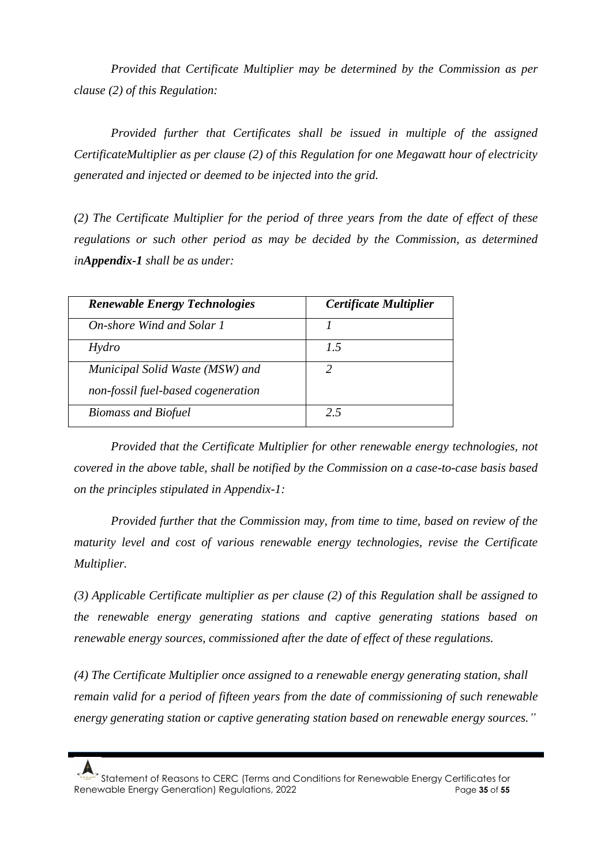*Provided that Certificate Multiplier may be determined by the Commission as per clause (2) of this Regulation:*

*Provided further that Certificates shall be issued in multiple of the assigned CertificateMultiplier as per clause (2) of this Regulation for one Megawatt hour of electricity generated and injected or deemed to be injected into the grid.*

*(2) The Certificate Multiplier for the period of three years from the date of effect of these regulations or such other period as may be decided by the Commission, as determined inAppendix-1 shall be as under:*

| <b>Renewable Energy Technologies</b> | Certificate Multiplier |
|--------------------------------------|------------------------|
| On-shore Wind and Solar 1            |                        |
| Hydro                                | 7.5                    |
| Municipal Solid Waste (MSW) and      | 2                      |
| non-fossil fuel-based cogeneration   |                        |
| <b>Biomass and Biofuel</b>           | 25                     |

*Provided that the Certificate Multiplier for other renewable energy technologies, not covered in the above table, shall be notified by the Commission on a case-to-case basis based on the principles stipulated in Appendix-1:*

*Provided further that the Commission may, from time to time, based on review of the maturity level and cost of various renewable energy technologies, revise the Certificate Multiplier.*

*(3) Applicable Certificate multiplier as per clause (2) of this Regulation shall be assigned to the renewable energy generating stations and captive generating stations based on renewable energy sources, commissioned after the date of effect of these regulations.*

*(4) The Certificate Multiplier once assigned to a renewable energy generating station, shall remain valid for a period of fifteen years from the date of commissioning of such renewable energy generating station or captive generating station based on renewable energy sources."*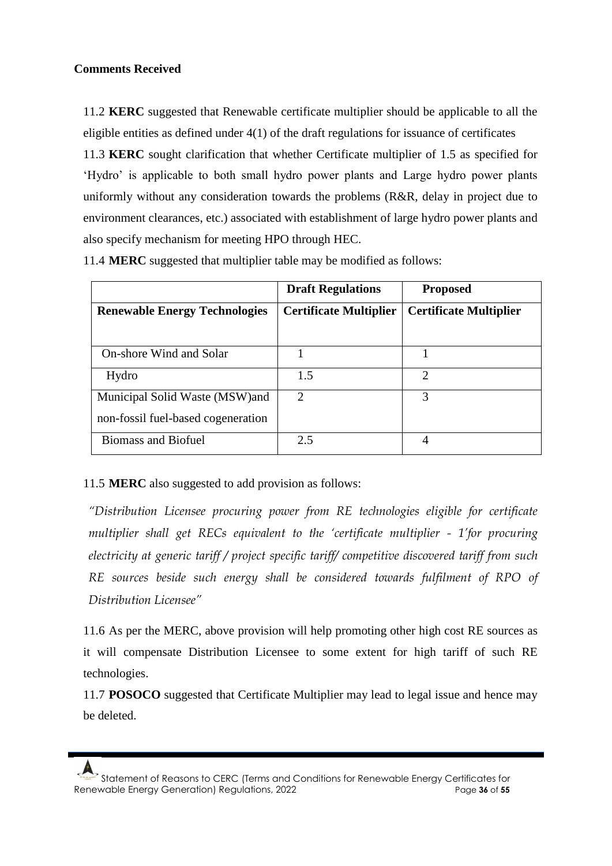# **Comments Received**

11.2 **KERC** suggested that Renewable certificate multiplier should be applicable to all the eligible entities as defined under 4(1) of the draft regulations for issuance of certificates 11.3 **KERC** sought clarification that whether Certificate multiplier of 1.5 as specified for 'Hydro' is applicable to both small hydro power plants and Large hydro power plants uniformly without any consideration towards the problems (R&R, delay in project due to environment clearances, etc.) associated with establishment of large hydro power plants and also specify mechanism for meeting HPO through HEC.

|                                      | <b>Draft Regulations</b>      | <b>Proposed</b>               |
|--------------------------------------|-------------------------------|-------------------------------|
| <b>Renewable Energy Technologies</b> | <b>Certificate Multiplier</b> | <b>Certificate Multiplier</b> |
|                                      |                               |                               |
| On-shore Wind and Solar              |                               |                               |
| Hydro                                | 1.5                           | $\mathcal{D}_{\mathcal{A}}$   |
| Municipal Solid Waste (MSW) and      | $\overline{2}$                | 3                             |
| non-fossil fuel-based cogeneration   |                               |                               |
| <b>Biomass and Biofuel</b>           | 2.5                           | 4                             |

11.4 **MERC** suggested that multiplier table may be modified as follows:

# 11.5 **MERC** also suggested to add provision as follows:

*"Distribution Licensee procuring power from RE technologies eligible for certificate multiplier shall get RECs equivalent to the 'certificate multiplier - 1'for procuring electricity at generic tariff / project specific tariff/ competitive discovered tariff from such RE sources beside such energy shall be considered towards fulfilment of RPO of Distribution Licensee"*

11.6 As per the MERC, above provision will help promoting other high cost RE sources as it will compensate Distribution Licensee to some extent for high tariff of such RE technologies.

11.7 **POSOCO** suggested that Certificate Multiplier may lead to legal issue and hence may be deleted.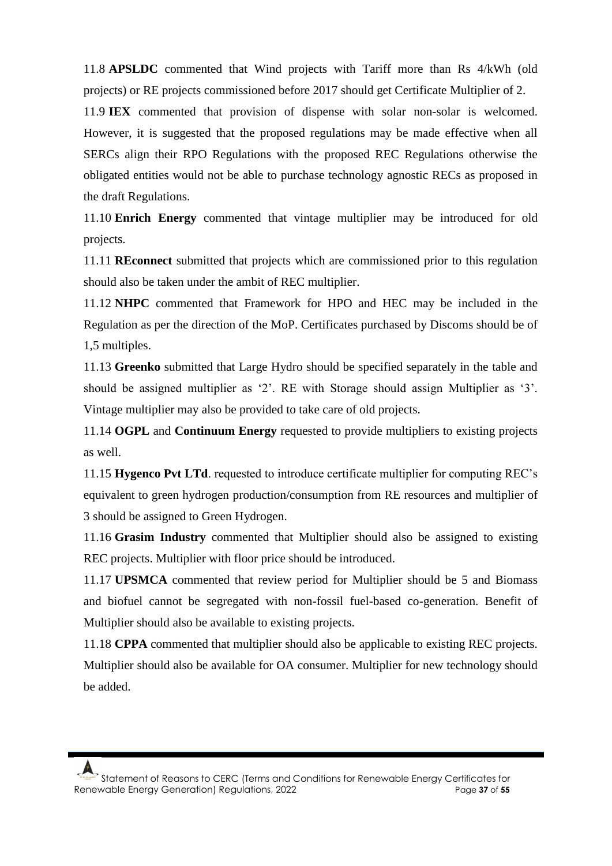11.8 **APSLDC** commented that Wind projects with Tariff more than Rs 4/kWh (old projects) or RE projects commissioned before 2017 should get Certificate Multiplier of 2.

11.9 **IEX** commented that provision of dispense with solar non-solar is welcomed. However, it is suggested that the proposed regulations may be made effective when all SERCs align their RPO Regulations with the proposed REC Regulations otherwise the obligated entities would not be able to purchase technology agnostic RECs as proposed in the draft Regulations.

11.10 **Enrich Energy** commented that vintage multiplier may be introduced for old projects.

11.11 **REconnect** submitted that projects which are commissioned prior to this regulation should also be taken under the ambit of REC multiplier.

11.12 **NHPC** commented that Framework for HPO and HEC may be included in the Regulation as per the direction of the MoP. Certificates purchased by Discoms should be of 1,5 multiples.

11.13 **Greenko** submitted that Large Hydro should be specified separately in the table and should be assigned multiplier as '2'. RE with Storage should assign Multiplier as '3'. Vintage multiplier may also be provided to take care of old projects.

11.14 **OGPL** and **Continuum Energy** requested to provide multipliers to existing projects as well.

11.15 **Hygenco Pvt LTd**. requested to introduce certificate multiplier for computing REC's equivalent to green hydrogen production/consumption from RE resources and multiplier of 3 should be assigned to Green Hydrogen.

11.16 **Grasim Industry** commented that Multiplier should also be assigned to existing REC projects. Multiplier with floor price should be introduced.

11.17 **UPSMCA** commented that review period for Multiplier should be 5 and Biomass and biofuel cannot be segregated with non-fossil fuel-based co-generation. Benefit of Multiplier should also be available to existing projects.

11.18 **CPPA** commented that multiplier should also be applicable to existing REC projects. Multiplier should also be available for OA consumer. Multiplier for new technology should be added.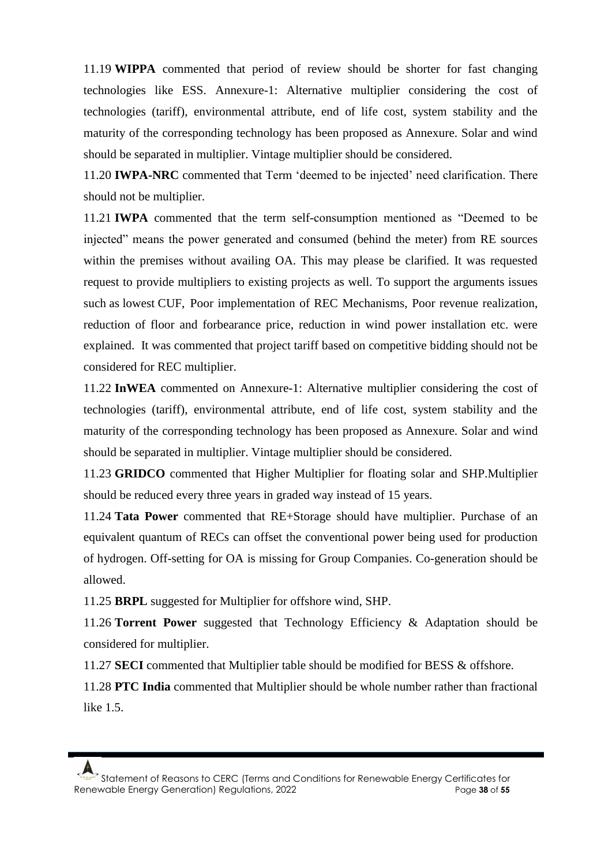11.19 **WIPPA** commented that period of review should be shorter for fast changing technologies like ESS. Annexure-1: Alternative multiplier considering the cost of technologies (tariff), environmental attribute, end of life cost, system stability and the maturity of the corresponding technology has been proposed as Annexure. Solar and wind should be separated in multiplier. Vintage multiplier should be considered.

11.20 **IWPA-NRC** commented that Term 'deemed to be injected' need clarification. There should not be multiplier.

11.21 **IWPA** commented that the term self-consumption mentioned as "Deemed to be injected" means the power generated and consumed (behind the meter) from RE sources within the premises without availing OA. This may please be clarified. It was requested request to provide multipliers to existing projects as well. To support the arguments issues such as lowest CUF, Poor implementation of REC Mechanisms, Poor revenue realization, reduction of floor and forbearance price, reduction in wind power installation etc. were explained. It was commented that project tariff based on competitive bidding should not be considered for REC multiplier.

11.22 **InWEA** commented on Annexure-1: Alternative multiplier considering the cost of technologies (tariff), environmental attribute, end of life cost, system stability and the maturity of the corresponding technology has been proposed as Annexure. Solar and wind should be separated in multiplier. Vintage multiplier should be considered.

11.23 **GRIDCO** commented that Higher Multiplier for floating solar and SHP.Multiplier should be reduced every three years in graded way instead of 15 years.

11.24 **Tata Power** commented that RE+Storage should have multiplier. Purchase of an equivalent quantum of RECs can offset the conventional power being used for production of hydrogen. Off-setting for OA is missing for Group Companies. Co-generation should be allowed.

11.25 **BRPL** suggested for Multiplier for offshore wind, SHP.

11.26 **Torrent Power** suggested that Technology Efficiency & Adaptation should be considered for multiplier.

11.27 **SECI** commented that Multiplier table should be modified for BESS & offshore.

11.28 **PTC India** commented that Multiplier should be whole number rather than fractional like 1.5.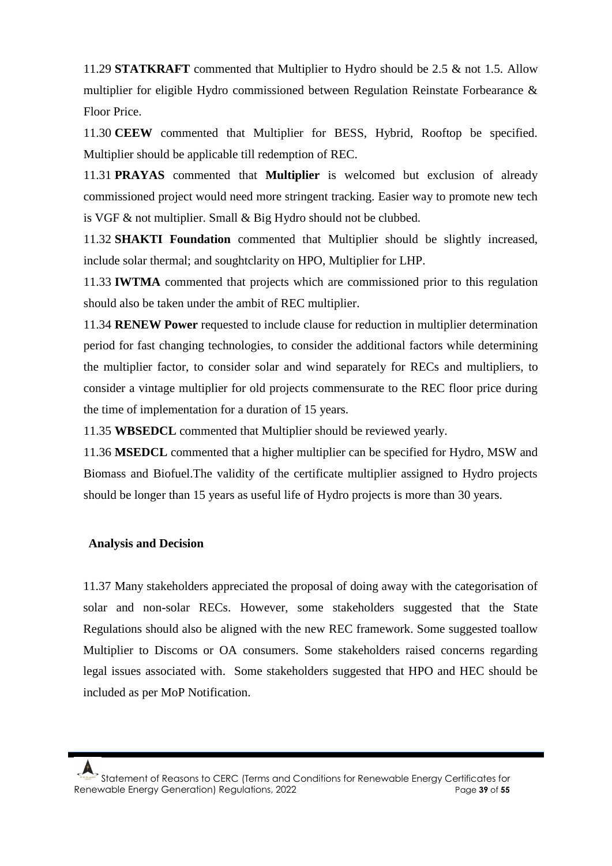11.29 **STATKRAFT** commented that Multiplier to Hydro should be 2.5 & not 1.5. Allow multiplier for eligible Hydro commissioned between Regulation Reinstate Forbearance & Floor Price.

11.30 **CEEW** commented that Multiplier for BESS, Hybrid, Rooftop be specified. Multiplier should be applicable till redemption of REC.

11.31 **PRAYAS** commented that **Multiplier** is welcomed but exclusion of already commissioned project would need more stringent tracking. Easier way to promote new tech is VGF & not multiplier. Small & Big Hydro should not be clubbed.

11.32 **SHAKTI Foundation** commented that Multiplier should be slightly increased, include solar thermal; and soughtclarity on HPO, Multiplier for LHP.

11.33 **IWTMA** commented that projects which are commissioned prior to this regulation should also be taken under the ambit of REC multiplier.

11.34 **RENEW Power** requested to include clause for reduction in multiplier determination period for fast changing technologies, to consider the additional factors while determining the multiplier factor, to consider solar and wind separately for RECs and multipliers, to consider a vintage multiplier for old projects commensurate to the REC floor price during the time of implementation for a duration of 15 years.

11.35 **WBSEDCL** commented that Multiplier should be reviewed yearly.

11.36 **MSEDCL** commented that a higher multiplier can be specified for Hydro, MSW and Biomass and Biofuel.The validity of the certificate multiplier assigned to Hydro projects should be longer than 15 years as useful life of Hydro projects is more than 30 years.

### **Analysis and Decision**

11.37 Many stakeholders appreciated the proposal of doing away with the categorisation of solar and non-solar RECs. However, some stakeholders suggested that the State Regulations should also be aligned with the new REC framework. Some suggested toallow Multiplier to Discoms or OA consumers. Some stakeholders raised concerns regarding legal issues associated with. Some stakeholders suggested that HPO and HEC should be included as per MoP Notification.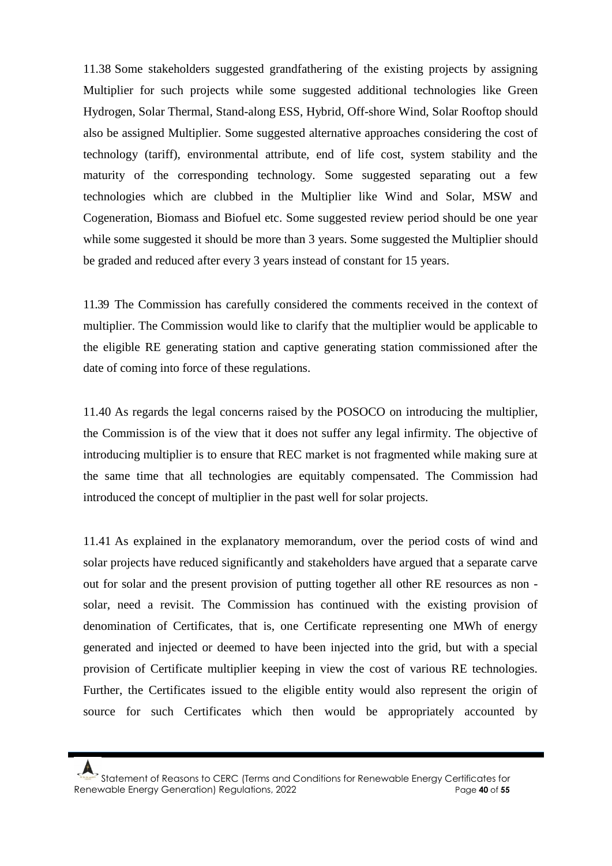11.38 Some stakeholders suggested grandfathering of the existing projects by assigning Multiplier for such projects while some suggested additional technologies like Green Hydrogen, Solar Thermal, Stand-along ESS, Hybrid, Off-shore Wind, Solar Rooftop should also be assigned Multiplier. Some suggested alternative approaches considering the cost of technology (tariff), environmental attribute, end of life cost, system stability and the maturity of the corresponding technology. Some suggested separating out a few technologies which are clubbed in the Multiplier like Wind and Solar, MSW and Cogeneration, Biomass and Biofuel etc. Some suggested review period should be one year while some suggested it should be more than 3 years. Some suggested the Multiplier should be graded and reduced after every 3 years instead of constant for 15 years.

11.39 The Commission has carefully considered the comments received in the context of multiplier. The Commission would like to clarify that the multiplier would be applicable to the eligible RE generating station and captive generating station commissioned after the date of coming into force of these regulations.

11.40 As regards the legal concerns raised by the POSOCO on introducing the multiplier, the Commission is of the view that it does not suffer any legal infirmity. The objective of introducing multiplier is to ensure that REC market is not fragmented while making sure at the same time that all technologies are equitably compensated. The Commission had introduced the concept of multiplier in the past well for solar projects.

11.41 As explained in the explanatory memorandum, over the period costs of wind and solar projects have reduced significantly and stakeholders have argued that a separate carve out for solar and the present provision of putting together all other RE resources as non solar, need a revisit. The Commission has continued with the existing provision of denomination of Certificates, that is, one Certificate representing one MWh of energy generated and injected or deemed to have been injected into the grid, but with a special provision of Certificate multiplier keeping in view the cost of various RE technologies. Further, the Certificates issued to the eligible entity would also represent the origin of source for such Certificates which then would be appropriately accounted by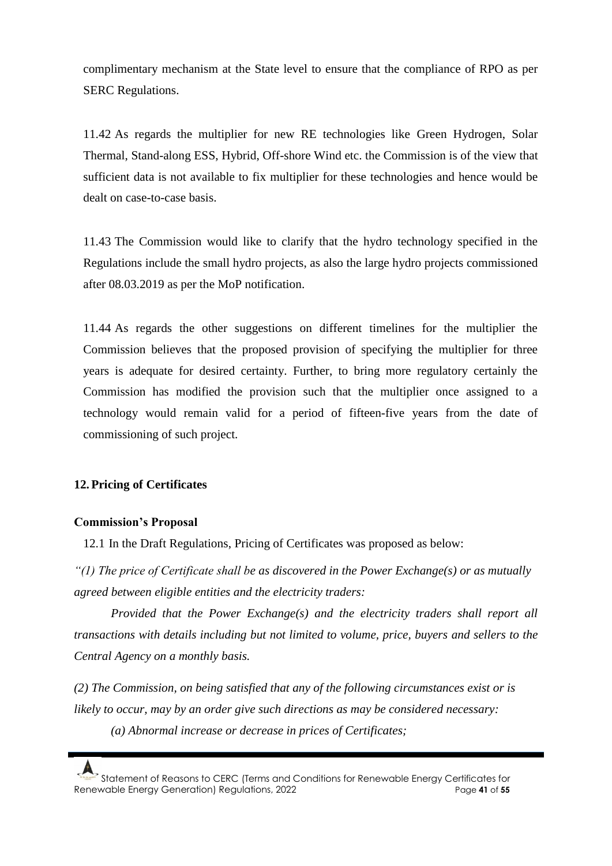complimentary mechanism at the State level to ensure that the compliance of RPO as per SERC Regulations.

11.42 As regards the multiplier for new RE technologies like Green Hydrogen, Solar Thermal, Stand-along ESS, Hybrid, Off-shore Wind etc. the Commission is of the view that sufficient data is not available to fix multiplier for these technologies and hence would be dealt on case-to-case basis.

11.43 The Commission would like to clarify that the hydro technology specified in the Regulations include the small hydro projects, as also the large hydro projects commissioned after 08.03.2019 as per the MoP notification.

11.44 As regards the other suggestions on different timelines for the multiplier the Commission believes that the proposed provision of specifying the multiplier for three years is adequate for desired certainty. Further, to bring more regulatory certainly the Commission has modified the provision such that the multiplier once assigned to a technology would remain valid for a period of fifteen-five years from the date of commissioning of such project.

# **12. Pricing of Certificates**

### **Commission's Proposal**

12.1 In the Draft Regulations, Pricing of Certificates was proposed as below:

*"(1) The price of Certificate shall be as discovered in the Power Exchange(s) or as mutually agreed between eligible entities and the electricity traders:*

*Provided that the Power Exchange(s) and the electricity traders shall report all transactions with details including but not limited to volume, price, buyers and sellers to the Central Agency on a monthly basis.*

*(2) The Commission, on being satisfied that any of the following circumstances exist or is likely to occur, may by an order give such directions as may be considered necessary: (a) Abnormal increase or decrease in prices of Certificates;*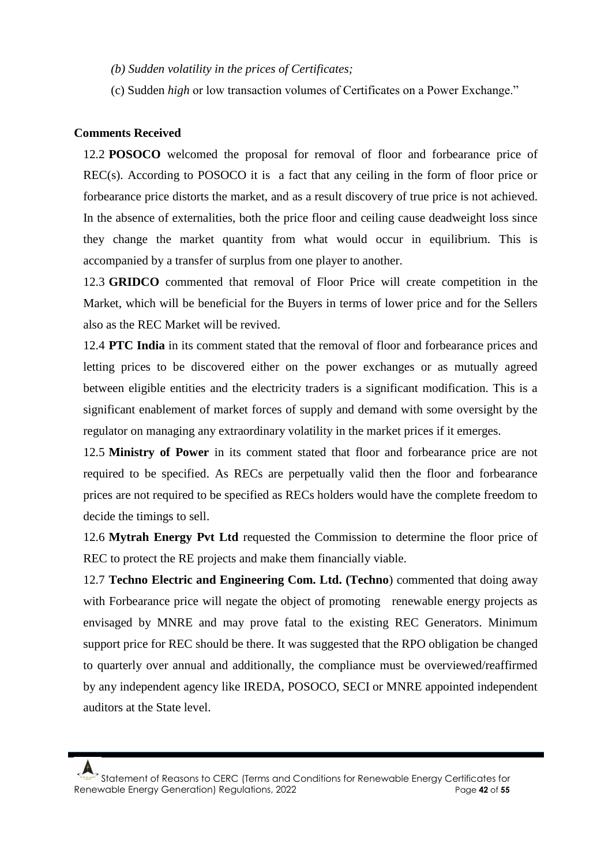- *(b) Sudden volatility in the prices of Certificates;*
- (c) Sudden *high* or low transaction volumes of Certificates on a Power Exchange."

### **Comments Received**

12.2 **POSOCO** welcomed the proposal for removal of floor and forbearance price of REC(s). According to POSOCO it is a fact that any ceiling in the form of floor price or forbearance price distorts the market, and as a result discovery of true price is not achieved. In the absence of externalities, both the price floor and ceiling cause deadweight loss since they change the market quantity from what would occur in equilibrium. This is accompanied by a transfer of surplus from one player to another.

12.3 **GRIDCO** commented that removal of Floor Price will create competition in the Market, which will be beneficial for the Buyers in terms of lower price and for the Sellers also as the REC Market will be revived.

12.4 **PTC India** in its comment stated that the removal of floor and forbearance prices and letting prices to be discovered either on the power exchanges or as mutually agreed between eligible entities and the electricity traders is a significant modification. This is a significant enablement of market forces of supply and demand with some oversight by the regulator on managing any extraordinary volatility in the market prices if it emerges.

12.5 **Ministry of Power** in its comment stated that floor and forbearance price are not required to be specified. As RECs are perpetually valid then the floor and forbearance prices are not required to be specified as RECs holders would have the complete freedom to decide the timings to sell.

12.6 **Mytrah Energy Pvt Ltd** requested the Commission to determine the floor price of REC to protect the RE projects and make them financially viable.

12.7 **Techno Electric and Engineering Com. Ltd. (Techno**) commented that doing away with Forbearance price will negate the object of promoting renewable energy projects as envisaged by MNRE and may prove fatal to the existing REC Generators. Minimum support price for REC should be there. It was suggested that the RPO obligation be changed to quarterly over annual and additionally, the compliance must be overviewed/reaffirmed by any independent agency like IREDA, POSOCO, SECI or MNRE appointed independent auditors at the State level.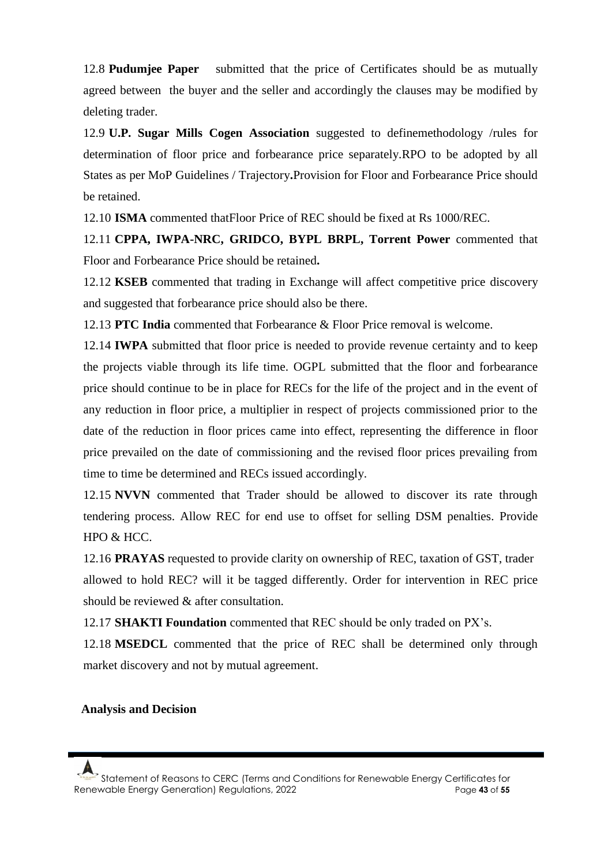12.8 **Pudumjee Paper** submitted that the price of Certificates should be as mutually agreed between the buyer and the seller and accordingly the clauses may be modified by deleting trader.

12.9 **U.P. Sugar Mills Cogen Association** suggested to definemethodology /rules for determination of floor price and forbearance price separately.RPO to be adopted by all States as per MoP Guidelines / Trajectory**.**Provision for Floor and Forbearance Price should be retained.

12.10 **ISMA** commented thatFloor Price of REC should be fixed at Rs 1000/REC.

12.11 **CPPA, IWPA-NRC, GRIDCO, BYPL BRPL, Torrent Power** commented that Floor and Forbearance Price should be retained**.**

12.12 **KSEB** commented that trading in Exchange will affect competitive price discovery and suggested that forbearance price should also be there.

12.13 **PTC India** commented that Forbearance & Floor Price removal is welcome.

12.14 **IWPA** submitted that floor price is needed to provide revenue certainty and to keep the projects viable through its life time. OGPL submitted that the floor and forbearance price should continue to be in place for RECs for the life of the project and in the event of any reduction in floor price, a multiplier in respect of projects commissioned prior to the date of the reduction in floor prices came into effect, representing the difference in floor price prevailed on the date of commissioning and the revised floor prices prevailing from time to time be determined and RECs issued accordingly.

12.15 **NVVN** commented that Trader should be allowed to discover its rate through tendering process. Allow REC for end use to offset for selling DSM penalties. Provide HPO & HCC.

12.16 **PRAYAS** requested to provide clarity on ownership of REC, taxation of GST, trader allowed to hold REC? will it be tagged differently. Order for intervention in REC price should be reviewed & after consultation.

12.17 **SHAKTI Foundation** commented that REC should be only traded on PX's.

12.18 **MSEDCL** commented that the price of REC shall be determined only through market discovery and not by mutual agreement.

#### **Analysis and Decision**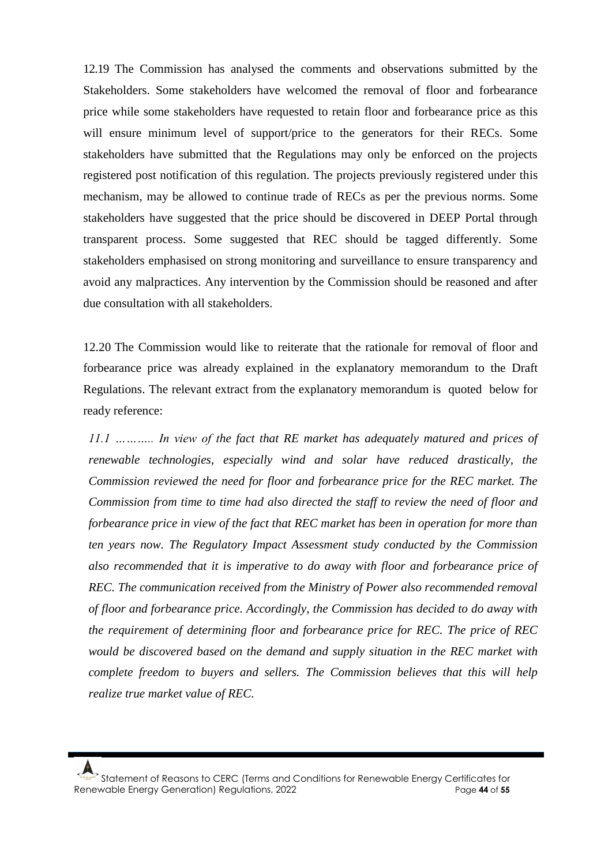12.19 The Commission has analysed the comments and observations submitted by the Stakeholders. Some stakeholders have welcomed the removal of floor and forbearance price while some stakeholders have requested to retain floor and forbearance price as this will ensure minimum level of support/price to the generators for their RECs. Some stakeholders have submitted that the Regulations may only be enforced on the projects registered post notification of this regulation. The projects previously registered under this mechanism, may be allowed to continue trade of RECs as per the previous norms. Some stakeholders have suggested that the price should be discovered in DEEP Portal through transparent process. Some suggested that REC should be tagged differently. Some stakeholders emphasised on strong monitoring and surveillance to ensure transparency and avoid any malpractices. Any intervention by the Commission should be reasoned and after due consultation with all stakeholders.

12.20 The Commission would like to reiterate that the rationale for removal of floor and forbearance price was already explained in the explanatory memorandum to the Draft Regulations. The relevant extract from the explanatory memorandum is quoted below for ready reference:

*11.1 ……….. In view of the fact that RE market has adequately matured and prices of renewable technologies, especially wind and solar have reduced drastically, the Commission reviewed the need for floor and forbearance price for the REC market. The Commission from time to time had also directed the staff to review the need of floor and forbearance price in view of the fact that REC market has been in operation for more than ten years now. The Regulatory Impact Assessment study conducted by the Commission also recommended that it is imperative to do away with floor and forbearance price of REC. The communication received from the Ministry of Power also recommended removal of floor and forbearance price. Accordingly, the Commission has decided to do away with the requirement of determining floor and forbearance price for REC. The price of REC would be discovered based on the demand and supply situation in the REC market with complete freedom to buyers and sellers. The Commission believes that this will help realize true market value of REC.*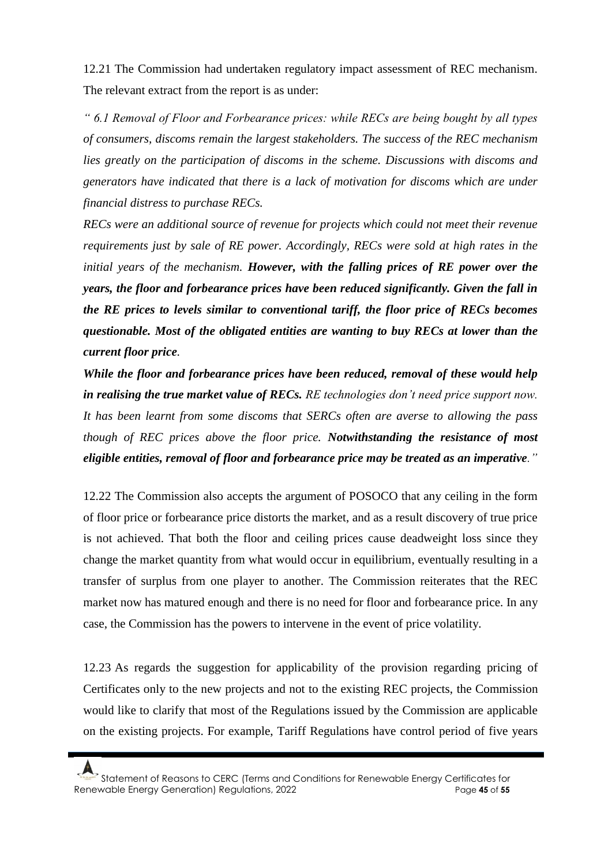12.21 The Commission had undertaken regulatory impact assessment of REC mechanism. The relevant extract from the report is as under:

*" 6.1 Removal of Floor and Forbearance prices: while RECs are being bought by all types of consumers, discoms remain the largest stakeholders. The success of the REC mechanism lies greatly on the participation of discoms in the scheme. Discussions with discoms and generators have indicated that there is a lack of motivation for discoms which are under financial distress to purchase RECs.*

*RECs were an additional source of revenue for projects which could not meet their revenue requirements just by sale of RE power. Accordingly, RECs were sold at high rates in the initial years of the mechanism. However, with the falling prices of RE power over the years, the floor and forbearance prices have been reduced significantly. Given the fall in the RE prices to levels similar to conventional tariff, the floor price of RECs becomes questionable. Most of the obligated entities are wanting to buy RECs at lower than the current floor price.*

*While the floor and forbearance prices have been reduced, removal of these would help in realising the true market value of RECs. RE technologies don't need price support now. It has been learnt from some discoms that SERCs often are averse to allowing the pass though of REC prices above the floor price. Notwithstanding the resistance of most eligible entities, removal of floor and forbearance price may be treated as an imperative."*

12.22 The Commission also accepts the argument of POSOCO that any ceiling in the form of floor price or forbearance price distorts the market, and as a result discovery of true price is not achieved. That both the floor and ceiling prices cause deadweight loss since they change the market quantity from what would occur in equilibrium, eventually resulting in a transfer of surplus from one player to another. The Commission reiterates that the REC market now has matured enough and there is no need for floor and forbearance price. In any case, the Commission has the powers to intervene in the event of price volatility.

12.23 As regards the suggestion for applicability of the provision regarding pricing of Certificates only to the new projects and not to the existing REC projects, the Commission would like to clarify that most of the Regulations issued by the Commission are applicable on the existing projects. For example, Tariff Regulations have control period of five years

Statement of Reasons to CERC (Terms and Conditions for Renewable Energy Certificates for Renewable Energy Generation) Regulations, 2022 Page **45** of **55**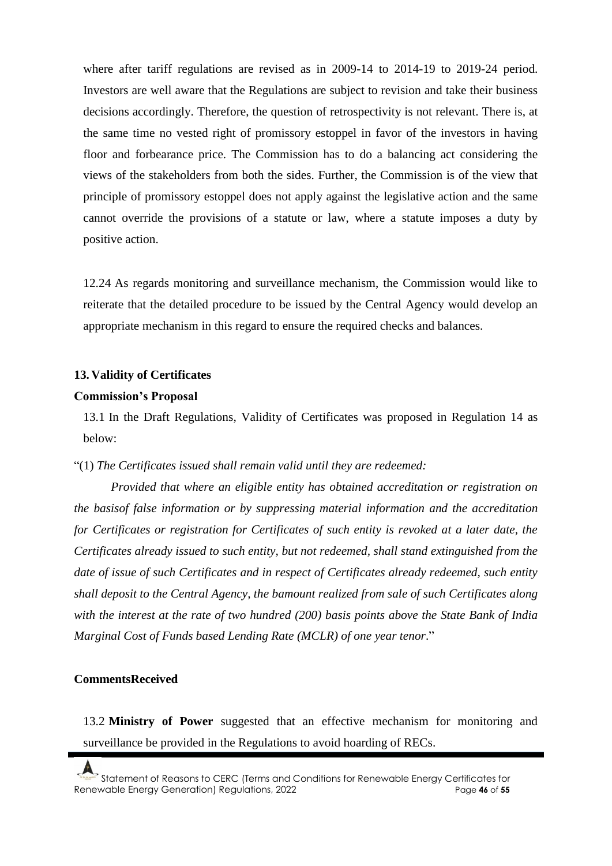where after tariff regulations are revised as in 2009-14 to 2014-19 to 2019-24 period. Investors are well aware that the Regulations are subject to revision and take their business decisions accordingly. Therefore, the question of retrospectivity is not relevant. There is, at the same time no vested right of promissory estoppel in favor of the investors in having floor and forbearance price. The Commission has to do a balancing act considering the views of the stakeholders from both the sides. Further, the Commission is of the view that principle of promissory estoppel does not apply against the legislative action and the same cannot override the provisions of a statute or law, where a statute imposes a duty by positive action.

12.24 As regards monitoring and surveillance mechanism, the Commission would like to reiterate that the detailed procedure to be issued by the Central Agency would develop an appropriate mechanism in this regard to ensure the required checks and balances.

#### **13. Validity of Certificates**

#### **Commission's Proposal**

13.1 In the Draft Regulations, Validity of Certificates was proposed in Regulation 14 as below:

"(1) *The Certificates issued shall remain valid until they are redeemed:*

*Provided that where an eligible entity has obtained accreditation or registration on the basisof false information or by suppressing material information and the accreditation for Certificates or registration for Certificates of such entity is revoked at a later date, the Certificates already issued to such entity, but not redeemed, shall stand extinguished from the date of issue of such Certificates and in respect of Certificates already redeemed, such entity shall deposit to the Central Agency, the bamount realized from sale of such Certificates along with the interest at the rate of two hundred (200) basis points above the State Bank of India Marginal Cost of Funds based Lending Rate (MCLR) of one year tenor*."

#### **CommentsReceived**

13.2 **Ministry of Power** suggested that an effective mechanism for monitoring and surveillance be provided in the Regulations to avoid hoarding of RECs.

Statement of Reasons to CERC (Terms and Conditions for Renewable Energy Certificates for Renewable Energy Generation) Regulations, 2022 Page **46** of **55**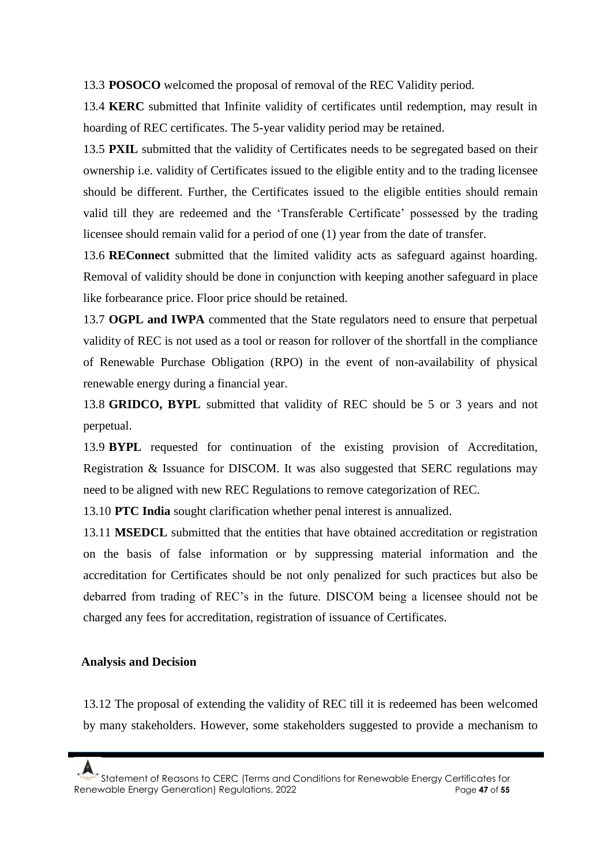13.3 **POSOCO** welcomed the proposal of removal of the REC Validity period.

13.4 **KERC** submitted that Infinite validity of certificates until redemption, may result in hoarding of REC certificates. The 5-year validity period may be retained.

13.5 **PXIL** submitted that the validity of Certificates needs to be segregated based on their ownership i.e. validity of Certificates issued to the eligible entity and to the trading licensee should be different. Further, the Certificates issued to the eligible entities should remain valid till they are redeemed and the 'Transferable Certificate' possessed by the trading licensee should remain valid for a period of one (1) year from the date of transfer.

13.6 **REConnect** submitted that the limited validity acts as safeguard against hoarding. Removal of validity should be done in conjunction with keeping another safeguard in place like forbearance price. Floor price should be retained.

13.7 **OGPL and IWPA** commented that the State regulators need to ensure that perpetual validity of REC is not used as a tool or reason for rollover of the shortfall in the compliance of Renewable Purchase Obligation (RPO) in the event of non-availability of physical renewable energy during a financial year.

13.8 **GRIDCO, BYPL** submitted that validity of REC should be 5 or 3 years and not perpetual.

13.9 **BYPL** requested for continuation of the existing provision of Accreditation, Registration & Issuance for DISCOM. It was also suggested that SERC regulations may need to be aligned with new REC Regulations to remove categorization of REC.

13.10 **PTC India** sought clarification whether penal interest is annualized.

13.11 **MSEDCL** submitted that the entities that have obtained accreditation or registration on the basis of false information or by suppressing material information and the accreditation for Certificates should be not only penalized for such practices but also be debarred from trading of REC's in the future. DISCOM being a licensee should not be charged any fees for accreditation, registration of issuance of Certificates.

#### **Analysis and Decision**

13.12 The proposal of extending the validity of REC till it is redeemed has been welcomed by many stakeholders. However, some stakeholders suggested to provide a mechanism to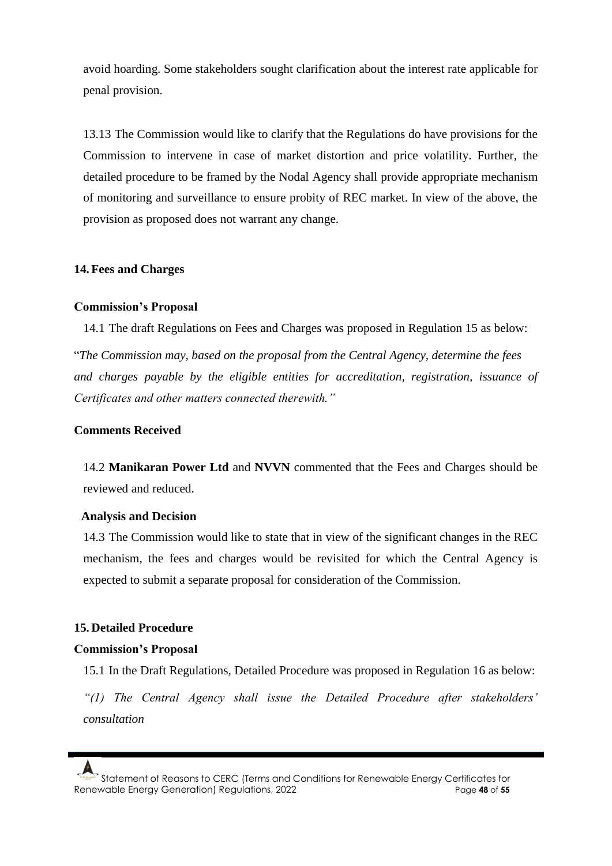avoid hoarding. Some stakeholders sought clarification about the interest rate applicable for penal provision.

13.13 The Commission would like to clarify that the Regulations do have provisions for the Commission to intervene in case of market distortion and price volatility. Further, the detailed procedure to be framed by the Nodal Agency shall provide appropriate mechanism of monitoring and surveillance to ensure probity of REC market. In view of the above, the provision as proposed does not warrant any change.

### **14. Fees and Charges**

### **Commission's Proposal**

14.1 The draft Regulations on Fees and Charges was proposed in Regulation 15 as below:

"*The Commission may, based on the proposal from the Central Agency, determine the fees and charges payable by the eligible entities for accreditation, registration, issuance of Certificates and other matters connected therewith."*

### **Comments Received**

14.2 **Manikaran Power Ltd** and **NVVN** commented that the Fees and Charges should be reviewed and reduced.

### **Analysis and Decision**

14.3 The Commission would like to state that in view of the significant changes in the REC mechanism, the fees and charges would be revisited for which the Central Agency is expected to submit a separate proposal for consideration of the Commission.

# **15. Detailed Procedure**

### **Commission's Proposal**

15.1 In the Draft Regulations, Detailed Procedure was proposed in Regulation 16 as below:

*"(1) The Central Agency shall issue the Detailed Procedure after stakeholders' consultation*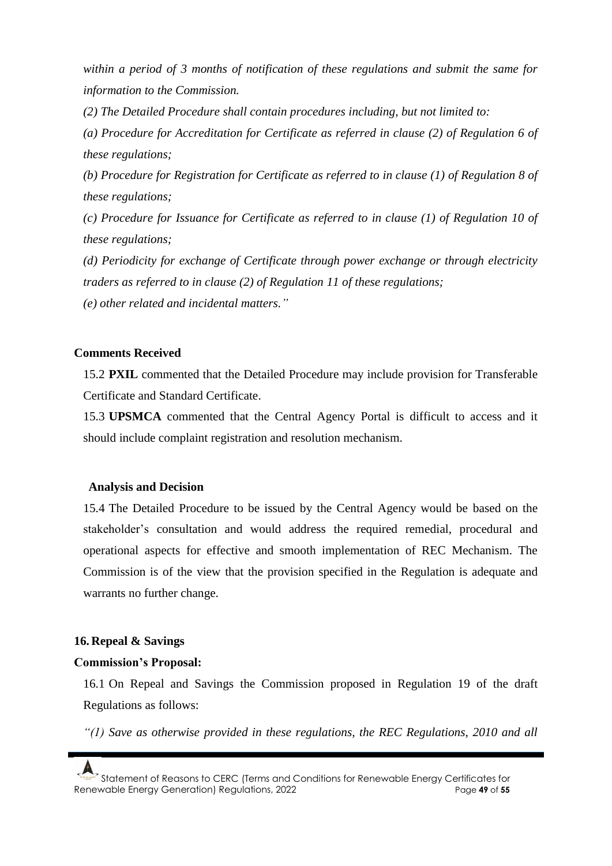*within a period of 3 months of notification of these regulations and submit the same for information to the Commission.*

*(2) The Detailed Procedure shall contain procedures including, but not limited to:*

*(a) Procedure for Accreditation for Certificate as referred in clause (2) of Regulation 6 of these regulations;*

*(b) Procedure for Registration for Certificate as referred to in clause (1) of Regulation 8 of these regulations;*

*(c) Procedure for Issuance for Certificate as referred to in clause (1) of Regulation 10 of these regulations;*

*(d) Periodicity for exchange of Certificate through power exchange or through electricity traders as referred to in clause (2) of Regulation 11 of these regulations; (e) other related and incidental matters."*

### **Comments Received**

15.2 **PXIL** commented that the Detailed Procedure may include provision for Transferable Certificate and Standard Certificate.

15.3 **UPSMCA** commented that the Central Agency Portal is difficult to access and it should include complaint registration and resolution mechanism.

#### **Analysis and Decision**

15.4 The Detailed Procedure to be issued by the Central Agency would be based on the stakeholder's consultation and would address the required remedial, procedural and operational aspects for effective and smooth implementation of REC Mechanism. The Commission is of the view that the provision specified in the Regulation is adequate and warrants no further change.

### **16. Repeal & Savings**

#### **Commission's Proposal:**

16.1 On Repeal and Savings the Commission proposed in Regulation 19 of the draft Regulations as follows:

*"(1) Save as otherwise provided in these regulations, the REC Regulations, 2010 and all* 

Statement of Reasons to CERC (Terms and Conditions for Renewable Energy Certificates for Renewable Energy Generation) Regulations, 2022 Page **49** of **55**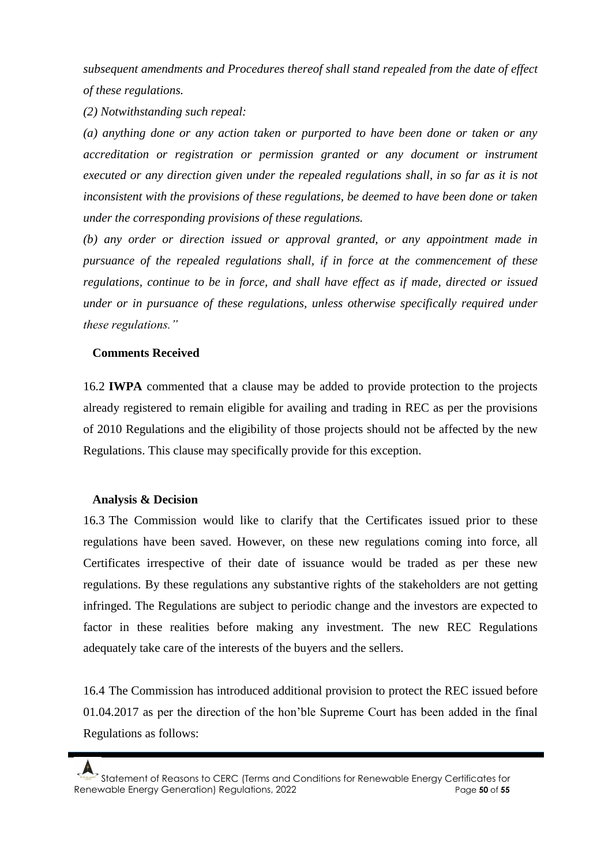*subsequent amendments and Procedures thereof shall stand repealed from the date of effect of these regulations.*

*(2) Notwithstanding such repeal:*

*(a) anything done or any action taken or purported to have been done or taken or any accreditation or registration or permission granted or any document or instrument executed or any direction given under the repealed regulations shall, in so far as it is not inconsistent with the provisions of these regulations, be deemed to have been done or taken under the corresponding provisions of these regulations.*

*(b) any order or direction issued or approval granted, or any appointment made in pursuance of the repealed regulations shall, if in force at the commencement of these regulations, continue to be in force, and shall have effect as if made, directed or issued under or in pursuance of these regulations, unless otherwise specifically required under these regulations."*

### **Comments Received**

16.2 **IWPA** commented that a clause may be added to provide protection to the projects already registered to remain eligible for availing and trading in REC as per the provisions of 2010 Regulations and the eligibility of those projects should not be affected by the new Regulations. This clause may specifically provide for this exception.

### **Analysis & Decision**

16.3 The Commission would like to clarify that the Certificates issued prior to these regulations have been saved. However, on these new regulations coming into force, all Certificates irrespective of their date of issuance would be traded as per these new regulations. By these regulations any substantive rights of the stakeholders are not getting infringed. The Regulations are subject to periodic change and the investors are expected to factor in these realities before making any investment. The new REC Regulations adequately take care of the interests of the buyers and the sellers.

16.4 The Commission has introduced additional provision to protect the REC issued before 01.04.2017 as per the direction of the hon'ble Supreme Court has been added in the final Regulations as follows:

Statement of Reasons to CERC (Terms and Conditions for Renewable Energy Certificates for Renewable Energy Generation) Regulations, 2022 **Page 50** of 55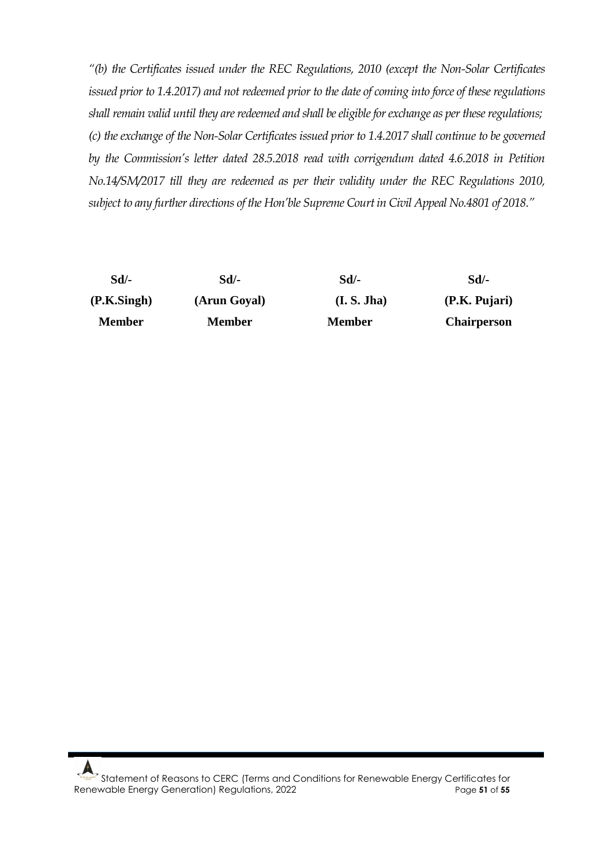*"(b) the Certificates issued under the REC Regulations, 2010 (except the Non-Solar Certificates issued prior to 1.4.2017) and not redeemed prior to the date of coming into force of these regulations shall remain valid until they are redeemed and shall be eligible for exchange as per these regulations; (c) the exchange of the Non-Solar Certificates issued prior to 1.4.2017 shall continue to be governed by the Commission's letter dated 28.5.2018 read with corrigendum dated 4.6.2018 in Petition No.14/SM/2017 till they are redeemed as per their validity under the REC Regulations 2010, subject to any further directions of the Hon'ble Supreme Court in Civil Appeal No.4801 of 2018."* 

| Sd/-          | Sd/-          | Sd/-          | Sd/-               |
|---------------|---------------|---------------|--------------------|
| (P.K.Singh)   | (Arun Goyal)  | (I. S. Jha)   | (P.K. Pujari)      |
| <b>Member</b> | <b>Member</b> | <b>Member</b> | <b>Chairperson</b> |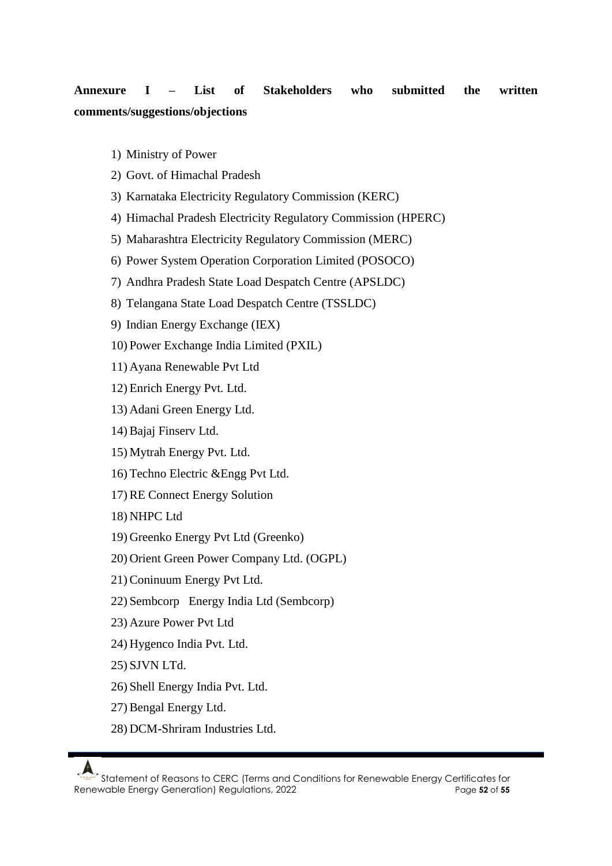# **Annexure I – List of Stakeholders who submitted the written comments/suggestions/objections**

- 1) Ministry of Power
- 2) Govt. of Himachal Pradesh
- 3) Karnataka Electricity Regulatory Commission (KERC)
- 4) Himachal Pradesh Electricity Regulatory Commission (HPERC)
- 5) Maharashtra Electricity Regulatory Commission (MERC)
- 6) Power System Operation Corporation Limited (POSOCO)
- 7) Andhra Pradesh State Load Despatch Centre (APSLDC)
- 8) Telangana State Load Despatch Centre (TSSLDC)
- 9) Indian Energy Exchange (IEX)
- 10) Power Exchange India Limited (PXIL)
- 11) Ayana Renewable Pvt Ltd
- 12) Enrich Energy Pvt. Ltd.
- 13) Adani Green Energy Ltd.
- 14) Bajaj Finserv Ltd.
- 15) Mytrah Energy Pvt. Ltd.
- 16) Techno Electric &Engg Pvt Ltd.
- 17) RE Connect Energy Solution
- 18) NHPC Ltd
- 19) Greenko Energy Pvt Ltd (Greenko)
- 20) Orient Green Power Company Ltd. (OGPL)
- 21) Coninuum Energy Pvt Ltd.
- 22) Sembcorp Energy India Ltd (Sembcorp)
- 23) Azure Power Pvt Ltd
- 24) Hygenco India Pvt. Ltd.
- 25) SJVN LTd.
- 26) Shell Energy India Pvt. Ltd.
- 27) Bengal Energy Ltd.
- 28) DCM-Shriram Industries Ltd.

Statement of Reasons to CERC (Terms and Conditions for Renewable Energy Certificates for Renewable Energy Generation) Regulations, 2022 Page **52** of **55**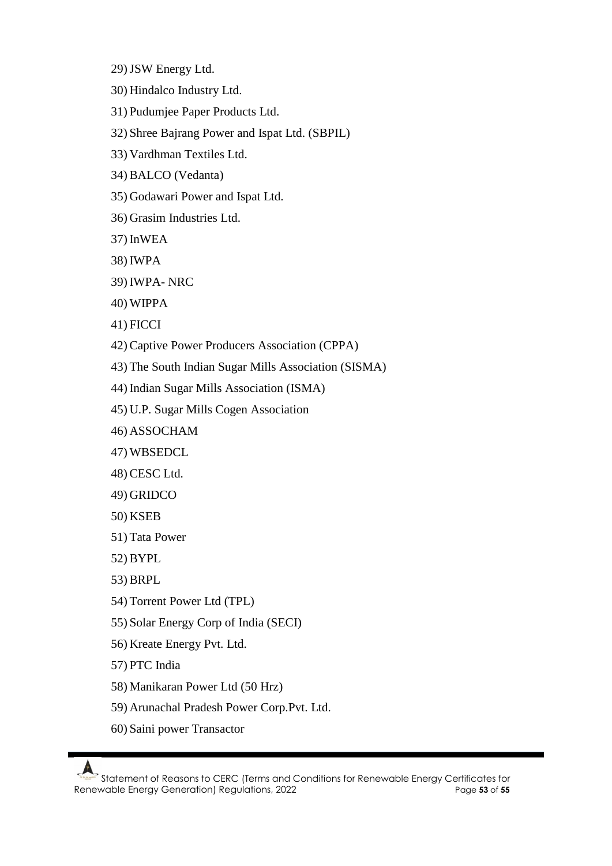- 29)JSW Energy Ltd.
- 30) Hindalco Industry Ltd.
- 31) Pudumjee Paper Products Ltd.
- 32) Shree Bajrang Power and Ispat Ltd. (SBPIL)
- 33) Vardhman Textiles Ltd.
- 34) BALCO (Vedanta)
- 35) Godawari Power and Ispat Ltd.
- 36) Grasim Industries Ltd.
- 37) InWEA
- 38) IWPA
- 39) IWPA- NRC
- 40) WIPPA
- 41) FICCI
- 42) Captive Power Producers Association (CPPA)
- 43) The South Indian Sugar Mills Association (SISMA)
- 44) Indian Sugar Mills Association (ISMA)
- 45) U.P. Sugar Mills Cogen Association
- 46) ASSOCHAM
- 47) WBSEDCL
- 48) CESC Ltd.
- 49) GRIDCO
- 50) KSEB
- 51) Tata Power
- 52) BYPL
- 53) BRPL
- 54) Torrent Power Ltd (TPL)
- 55) Solar Energy Corp of India (SECI)
- 56) Kreate Energy Pvt. Ltd.
- 57) PTC India
- 58) Manikaran Power Ltd (50 Hrz)
- 59) Arunachal Pradesh Power Corp.Pvt. Ltd.
- 60) Saini power Transactor

Statement of Reasons to CERC (Terms and Conditions for Renewable Energy Certificates for Renewable Energy Generation) Regulations, 2022 Page **53** of **55**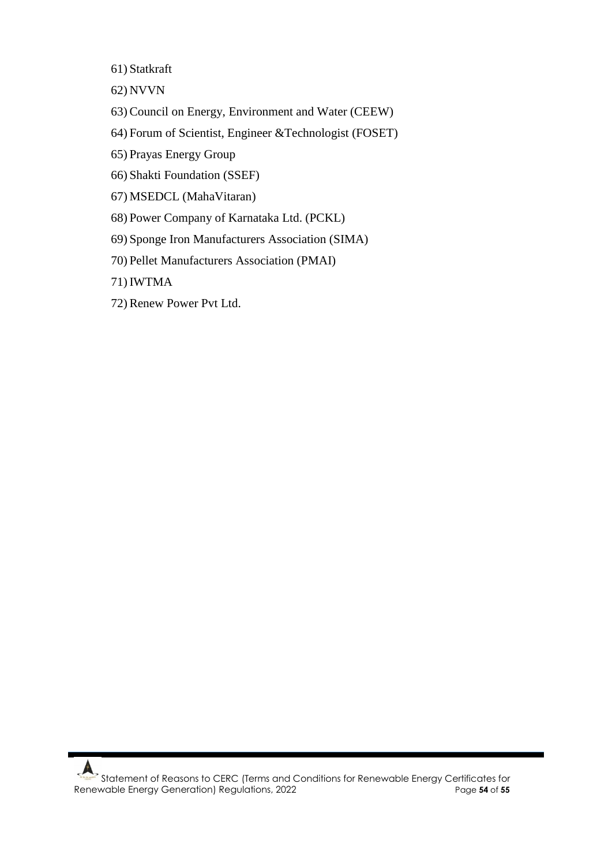61) Statkraft

62) NVVN

- 63) Council on Energy, Environment and Water (CEEW)
- 64) Forum of Scientist, Engineer &Technologist (FOSET)
- 65) Prayas Energy Group
- 66) Shakti Foundation (SSEF)
- 67) MSEDCL (MahaVitaran)
- 68) Power Company of Karnataka Ltd. (PCKL)
- 69) Sponge Iron Manufacturers Association (SIMA)
- 70) Pellet Manufacturers Association (PMAI)

71) IWTMA

72) Renew Power Pvt Ltd.